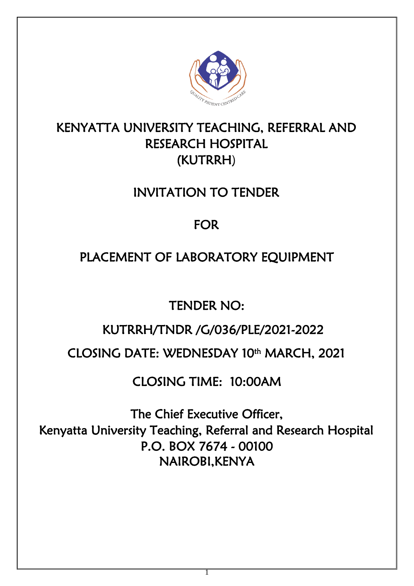

# KENYATTA UNIVERSITY TEACHING, REFERRAL AND RESEARCH HOSPITAL (KUTRRH)

# INVITATION TO TENDER

# FOR

# PLACEMENT OF LABORATORY EQUIPMENT

TENDER NO:

# KUTRRH/TNDR /G/036/PLE/2021-2022

# CLOSING DATE: WEDNESDAY 10th MARCH, 2021

# CLOSING TIME: 10:00AM

The Chief Executive Officer, Kenyatta University Teaching, Referral and Research Hospital P.O. BOX 7674 - 00100 NAIROBI,KENYA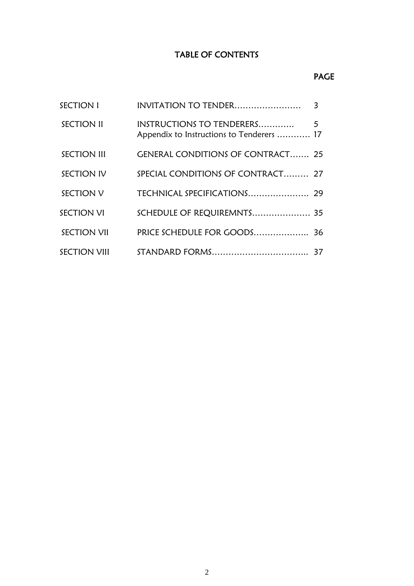# TABLE OF CONTENTS

## PAGE

| <b>SECTION I</b>    | INVITATION TO TENDER                      | 3 |
|---------------------|-------------------------------------------|---|
| <b>SECTION II</b>   | Appendix to Instructions to Tenderers  17 |   |
| <b>SECTION III</b>  | <b>GENERAL CONDITIONS OF CONTRACT 25</b>  |   |
| SECTION IV          | SPECIAL CONDITIONS OF CONTRACT 27         |   |
| SECTION V           |                                           |   |
| SECTION VI          | SCHEDULE OF REQUIREMNTS 35                |   |
| <b>SECTION VII</b>  | PRICE SCHEDULE FOR GOODS 36               |   |
| <b>SECTION VIII</b> |                                           |   |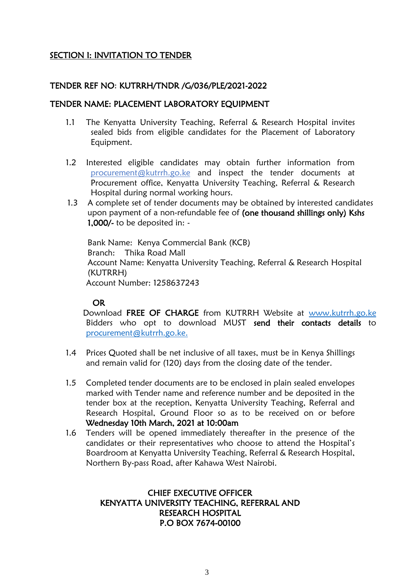## SECTION I: INVITATION TO TENDER

### TENDER REF NO: KUTRRH/TNDR /G/036/PLE/2021-2022

#### TENDER NAME: PLACEMENT LABORATORY EQUIPMENT

- 1.1 The Kenyatta University Teaching, Referral & Research Hospital invites sealed bids from eligible candidates for the Placement of Laboratory Equipment.
- 1.2 Interested eligible candidates may obtain further information from [procurement@](mailto:procurement)kutrrh.go.ke and inspect the tender documents at Procurement office, Kenyatta University Teaching, Referral & Research Hospital during normal working hours.
- 1.3 A complete set of tender documents may be obtained by interested candidates upon payment of a non-refundable fee of (one thousand shillings only) Kshs 1,000/- to be deposited in: -

Bank Name: Kenya Commercial Bank (KCB) Branch: Thika Road Mall Account Name: Kenyatta University Teaching, Referral & Research Hospital (KUTRRH) Account Number: 1258637243

#### OR

Download FREE OF CHARGE from KUTRRH Website at [www.kutrrh.go.ke](http://www.kutrrh.go.ke/) Bidders who opt to download MUST send their contacts details to [procurement@kutrrh.go.ke.](mailto:procurement@kutrrh.go.ke)

- 1.4 Prices Quoted shall be net inclusive of all taxes, must be in Kenya Shillings and remain valid for (120) days from the closing date of the tender.
- 1.5 Completed tender documents are to be enclosed in plain sealed envelopes marked with Tender name and reference number and be deposited in the tender box at the reception, Kenyatta University Teaching, Referral and Research Hospital, Ground Floor so as to be received on or before Wednesday 10th March, 2021 at 10:00am
- 1.6 Tenders will be opened immediately thereafter in the presence of the candidates or their representatives who choose to attend the Hospital's Boardroom at Kenyatta University Teaching, Referral & Research Hospital, Northern By-pass Road, after Kahawa West Nairobi.

### CHIEF EXECUTIVE OFFICER KENYATTA UNIVERSITY TEACHING, REFERRAL AND RESEARCH HOSPITAL P.O BOX 7674-00100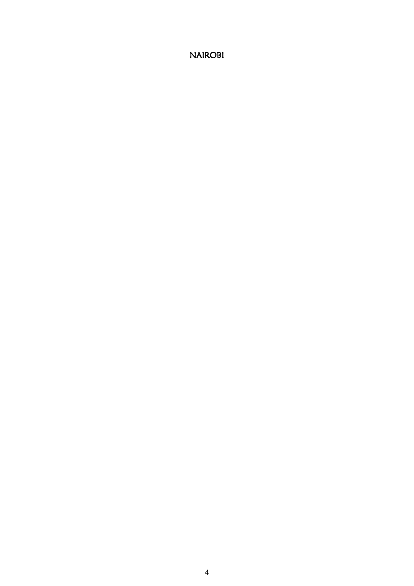NAIROBI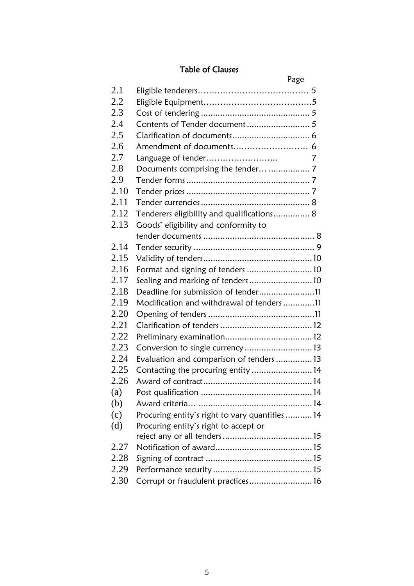# Table of Clauses

|      |                                                 | Page |
|------|-------------------------------------------------|------|
| 2.1  |                                                 |      |
| 2.2  |                                                 |      |
| 2.3  |                                                 |      |
| 2.4  |                                                 |      |
| 2.5  |                                                 |      |
| 2.6  |                                                 |      |
| 2.7  | Language of tender                              | 7    |
| 2.8  | Documents comprising the tender  7              |      |
| 2.9  |                                                 |      |
| 2.10 |                                                 |      |
| 2.11 |                                                 |      |
| 2.12 | Tenderers eligibility and qualifications 8      |      |
| 2.13 | Goods' eligibility and conformity to            |      |
|      |                                                 |      |
| 2.14 |                                                 |      |
| 2.15 |                                                 |      |
| 2.16 | Format and signing of tenders 10                |      |
| 2.17 | Sealing and marking of tenders10                |      |
| 2.18 | Deadline for submission of tender11             |      |
| 2.19 | Modification and withdrawal of tenders 11       |      |
| 2.20 |                                                 |      |
| 2.21 |                                                 |      |
| 2.22 |                                                 |      |
| 2.23 | Conversion to single currency13                 |      |
| 2.24 | Evaluation and comparison of tenders 13         |      |
| 2.25 | Contacting the procuring entity  14             |      |
| 2.26 |                                                 |      |
| (a)  |                                                 |      |
| (b)  |                                                 |      |
| (c)  | Procuring entity's right to vary quantities  14 |      |
| (d)  | Procuring entity's right to accept or           |      |
|      |                                                 |      |
| 2.27 |                                                 |      |
| 2.28 |                                                 |      |
| 2.29 |                                                 |      |
| 2.30 | Corrupt or fraudulent practices 16              |      |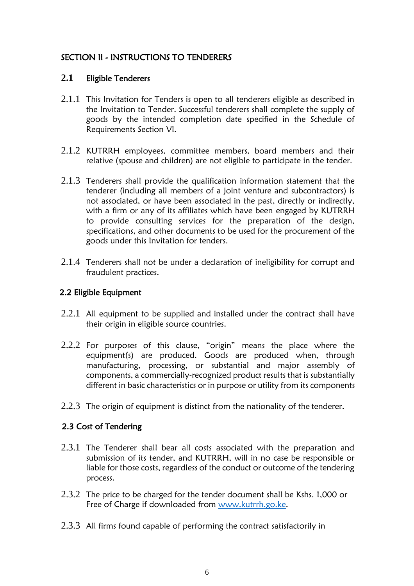## SECTION II - INSTRUCTIONS TO TENDERERS

## **2.1** Eligible Tenderers

- 2.1.1 This Invitation for Tenders is open to all tenderers eligible as described in the Invitation to Tender. Successful tenderers shall complete the supply of goods by the intended completion date specified in the Schedule of Requirements Section VI.
- 2.1.2 KUTRRH employees, committee members, board members and their relative (spouse and children) are not eligible to participate in the tender.
- 2.1.3 Tenderers shall provide the qualification information statement that the tenderer (including all members of a joint venture and subcontractors) is not associated, or have been associated in the past, directly or indirectly, with a firm or any of its affiliates which have been engaged by KUTRRH to provide consulting services for the preparation of the design, specifications, and other documents to be used for the procurement of the goods under this Invitation for tenders.
- 2.1.4 Tenderers shall not be under a declaration of ineligibility for corrupt and fraudulent practices.

## 2.2 Eligible Equipment

- 2.2.1 All equipment to be supplied and installed under the contract shall have their origin in eligible source countries.
- 2.2.2 For purposes of this clause, "origin" means the place where the equipment(s) are produced. Goods are produced when, through manufacturing, processing, or substantial and major assembly of components, a commercially-recognized product results that is substantially different in basic characteristics or in purpose or utility from its components
- 2.2.3 The origin of equipment is distinct from the nationality of the tenderer.

## 2.3 Cost of Tendering

- 2.3.1 The Tenderer shall bear all costs associated with the preparation and submission of its tender, and KUTRRH, will in no case be responsible or liable for those costs, regardless of the conduct or outcome of the tendering process.
- 2.3.2 The price to be charged for the tender document shall be Kshs. 1,000 or Free of Charge if downloaded from [www.kutrrh.go.ke.](http://www.kutrrh.go.ke/)
- 2.3.3 All firms found capable of performing the contract satisfactorily in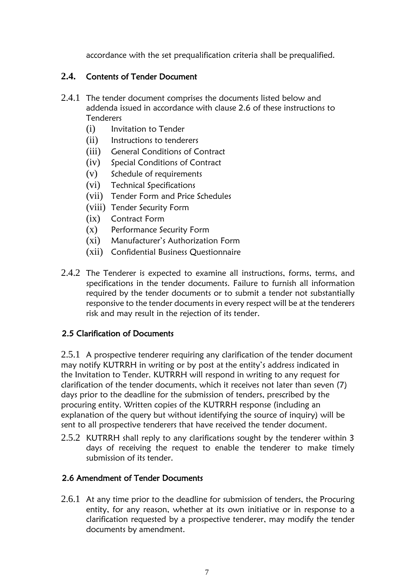accordance with the set prequalification criteria shall be prequalified.

## **2.4.** Contents of Tender Document

- 2.4.1 The tender document comprises the documents listed below and addenda issued in accordance with clause 2.6 of these instructions to **Tenderers** 
	- (i) Invitation to Tender
	- (ii) Instructions to tenderers
	- (iii) General Conditions of Contract
	- (iv) Special Conditions of Contract
	- (v) Schedule of requirements
	- (vi) Technical Specifications
	- (vii) Tender Form and Price Schedules
	- (viii) Tender Security Form
	- (ix) Contract Form
	- (x) Performance Security Form
	- (xi) Manufacturer's Authorization Form
	- (xii) Confidential Business Questionnaire
- 2.4.2 The Tenderer is expected to examine all instructions, forms, terms, and specifications in the tender documents. Failure to furnish all information required by the tender documents or to submit a tender not substantially responsive to the tender documents in every respect will be at the tenderers risk and may result in the rejection of its tender.

## 2.5 Clarification of Documents

2.5.1 A prospective tenderer requiring any clarification of the tender document may notify KUTRRH in writing or by post at the entity's address indicated in the Invitation to Tender. KUTRRH will respond in writing to any request for clarification of the tender documents, which it receives not later than seven (7) days prior to the deadline for the submission of tenders, prescribed by the procuring entity. Written copies of the KUTRRH response (including an explanation of the query but without identifying the source of inquiry) will be sent to all prospective tenderers that have received the tender document.

2.5.2 KUTRRH shall reply to any clarifications sought by the tenderer within 3 days of receiving the request to enable the tenderer to make timely submission of its tender.

## 2.6 Amendment of Tender Documents

2.6.1 At any time prior to the deadline for submission of tenders, the Procuring entity, for any reason, whether at its own initiative or in response to a clarification requested by a prospective tenderer, may modify the tender documents by amendment.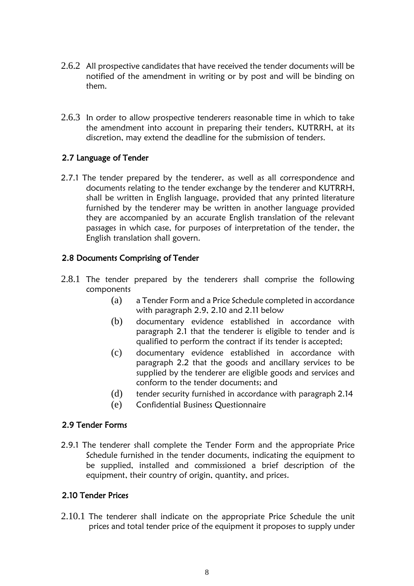- 2.6.2 All prospective candidates that have received the tender documents will be notified of the amendment in writing or by post and will be binding on them.
- 2.6.3 In order to allow prospective tenderers reasonable time in which to take the amendment into account in preparing their tenders, KUTRRH, at its discretion, may extend the deadline for the submission of tenders.

## 2.7 Language of Tender

2.7.1 The tender prepared by the tenderer, as well as all correspondence and documents relating to the tender exchange by the tenderer and KUTRRH, shall be written in English language, provided that any printed literature furnished by the tenderer may be written in another language provided they are accompanied by an accurate English translation of the relevant passages in which case, for purposes of interpretation of the tender, the English translation shall govern.

## 2.8 Documents Comprising of Tender

- 2.8.1 The tender prepared by the tenderers shall comprise the following components
	- (a) a Tender Form and a Price Schedule completed in accordance with paragraph 2.9, 2.10 and 2.11 below
	- (b) documentary evidence established in accordance with paragraph 2.1 that the tenderer is eligible to tender and is qualified to perform the contract if its tender is accepted;
	- (c) documentary evidence established in accordance with paragraph 2.2 that the goods and ancillary services to be supplied by the tenderer are eligible goods and services and conform to the tender documents; and
	- (d) tender security furnished in accordance with paragraph 2.14
	- (e) Confidential Business Questionnaire

## 2.9 Tender Forms

2.9.1 The tenderer shall complete the Tender Form and the appropriate Price Schedule furnished in the tender documents, indicating the equipment to be supplied, installed and commissioned a brief description of the equipment, their country of origin, quantity, and prices.

## 2.10 Tender Prices

2.10.1 The tenderer shall indicate on the appropriate Price Schedule the unit prices and total tender price of the equipment it proposes to supply under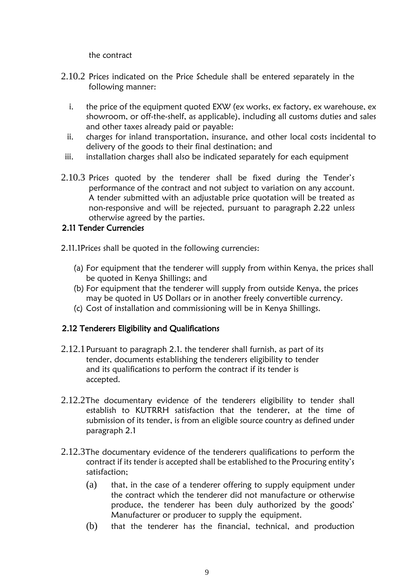the contract

- 2.10.2 Prices indicated on the Price Schedule shall be entered separately in the following manner:
	- i. the price of the equipment quoted EXW (ex works, ex factory, ex warehouse, ex showroom, or off-the-shelf, as applicable), including all customs duties and sales and other taxes already paid or payable:
	- ii. charges for inland transportation, insurance, and other local costs incidental to delivery of the goods to their final destination; and
- iii. installation charges shall also be indicated separately for each equipment
- 2.10.3 Prices quoted by the tenderer shall be fixed during the Tender's performance of the contract and not subject to variation on any account. A tender submitted with an adjustable price quotation will be treated as non-responsive and will be rejected, pursuant to paragraph 2.22 unless otherwise agreed by the parties.

## 2.11 Tender Currencies

- 2.11.1Prices shall be quoted in the following currencies:
	- (a) For equipment that the tenderer will supply from within Kenya, the prices shall be quoted in Kenya Shillings; and
	- (b) For equipment that the tenderer will supply from outside Kenya, the prices may be quoted in US Dollars or in another freely convertible currency.
	- (c) Cost of installation and commissioning will be in Kenya Shillings.

## 2.12 Tenderers Eligibility and Qualifications

- 2.12.1Pursuant to paragraph 2.1. the tenderer shall furnish, as part of its tender, documents establishing the tenderers eligibility to tender and its qualifications to perform the contract if its tender is accepted.
- 2.12.2The documentary evidence of the tenderers eligibility to tender shall establish to KUTRRH satisfaction that the tenderer, at the time of submission of its tender, is from an eligible source country as defined under paragraph 2.1
- 2.12.3The documentary evidence of the tenderers qualifications to perform the contract if its tender is accepted shall be established to the Procuring entity's satisfaction;
	- (a) that, in the case of a tenderer offering to supply equipment under the contract which the tenderer did not manufacture or otherwise produce, the tenderer has been duly authorized by the goods' Manufacturer or producer to supply the equipment.
	- (b) that the tenderer has the financial, technical, and production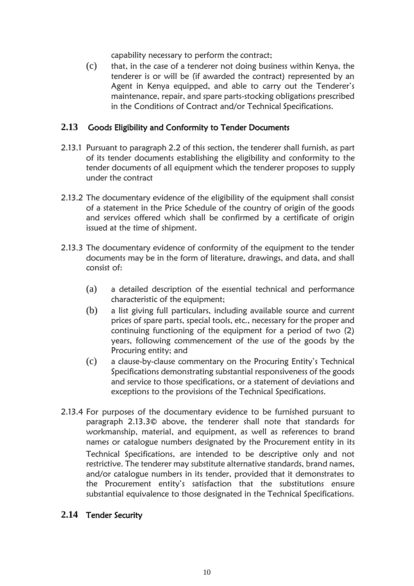capability necessary to perform the contract;

(c) that, in the case of a tenderer not doing business within Kenya, the tenderer is or will be (if awarded the contract) represented by an Agent in Kenya equipped, and able to carry out the Tenderer's maintenance, repair, and spare parts-stocking obligations prescribed in the Conditions of Contract and/or Technical Specifications.

### **2.13** Goods Eligibility and Conformity to Tender Documents

- 2.13.1 Pursuant to paragraph 2.2 of this section, the tenderer shall furnish, as part of its tender documents establishing the eligibility and conformity to the tender documents of all equipment which the tenderer proposes to supply under the contract
- 2.13.2 The documentary evidence of the eligibility of the equipment shall consist of a statement in the Price Schedule of the country of origin of the goods and services offered which shall be confirmed by a certificate of origin issued at the time of shipment.
- 2.13.3 The documentary evidence of conformity of the equipment to the tender documents may be in the form of literature, drawings, and data, and shall consist of:
	- (a) a detailed description of the essential technical and performance characteristic of the equipment;
	- (b) a list giving full particulars, including available source and current prices of spare parts, special tools, etc., necessary for the proper and continuing functioning of the equipment for a period of two (2) years, following commencement of the use of the goods by the Procuring entity; and
	- (c) a clause-by-clause commentary on the Procuring Entity's Technical Specifications demonstrating substantial responsiveness of the goods and service to those specifications, or a statement of deviations and exceptions to the provisions of the Technical Specifications.
- 2.13.4 For purposes of the documentary evidence to be furnished pursuant to paragraph 2.13.3© above, the tenderer shall note that standards for workmanship, material, and equipment, as well as references to brand names or catalogue numbers designated by the Procurement entity in its Technical Specifications, are intended to be descriptive only and not restrictive. The tenderer may substitute alternative standards, brand names, and/or catalogue numbers in its tender, provided that it demonstrates to the Procurement entity's satisfaction that the substitutions ensure substantial equivalence to those designated in the Technical Specifications.

### **2.14** Tender Security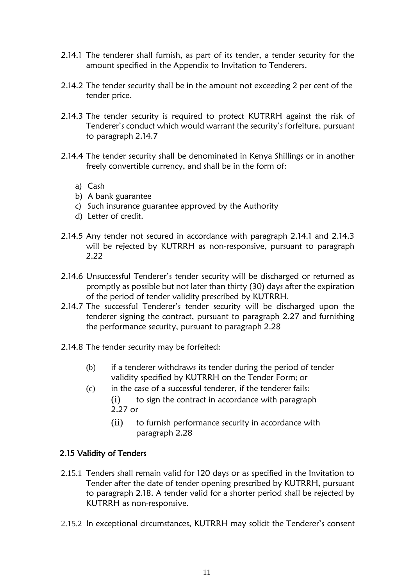- 2.14.1 The tenderer shall furnish, as part of its tender, a tender security for the amount specified in the Appendix to Invitation to Tenderers.
- 2.14.2 The tender security shall be in the amount not exceeding 2 per cent of the tender price.
- 2.14.3 The tender security is required to protect KUTRRH against the risk of Tenderer's conduct which would warrant the security's forfeiture, pursuant to paragraph 2.14.7
- 2.14.4 The tender security shall be denominated in Kenya Shillings or in another freely convertible currency, and shall be in the form of:
	- a) Cash
	- b) A bank guarantee
	- c) Such insurance guarantee approved by the Authority
	- d) Letter of credit.
- 2.14.5 Any tender not secured in accordance with paragraph 2.14.1 and 2.14.3 will be rejected by KUTRRH as non-responsive, pursuant to paragraph 2.22
- 2.14.6 Unsuccessful Tenderer's tender security will be discharged or returned as promptly as possible but not later than thirty (30) days after the expiration of the period of tender validity prescribed by KUTRRH.
- 2.14.7 The successful Tenderer's tender security will be discharged upon the tenderer signing the contract, pursuant to paragraph 2.27 and furnishing the performance security, pursuant to paragraph 2.28
- 2.14.8 The tender security may be forfeited:
	- (b) if a tenderer withdraws its tender during the period of tender validity specified by KUTRRH on the Tender Form; or
	- $(c)$  in the case of a successful tenderer, if the tenderer fails:  $(i)$  to sign the contract in accordance with paragraph 2.27 or
		- (ii) to furnish performance security in accordance with paragraph 2.28

## 2.15 Validity of Tenders

- 2.15.1 Tenders shall remain valid for 120 days or as specified in the Invitation to Tender after the date of tender opening prescribed by KUTRRH, pursuant to paragraph 2.18. A tender valid for a shorter period shall be rejected by KUTRRH as non-responsive.
- 2.15.2 In exceptional circumstances, KUTRRH may solicit the Tenderer's consent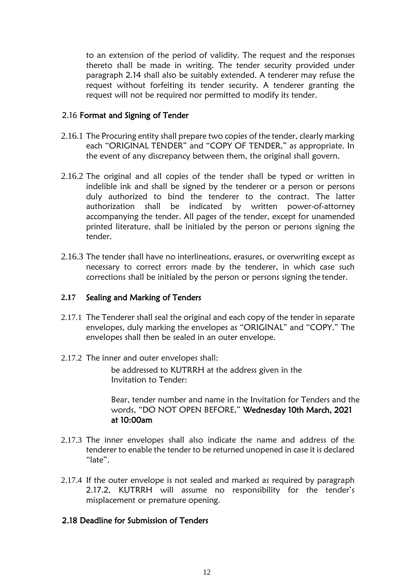to an extension of the period of validity. The request and the responses thereto shall be made in writing. The tender security provided under paragraph 2.14 shall also be suitably extended. A tenderer may refuse the request without forfeiting its tender security. A tenderer granting the request will not be required nor permitted to modify its tender.

#### 2.16 Format and Signing of Tender

- 2.16.1 The Procuring entity shall prepare two copies of the tender, clearly marking each "ORIGINAL TENDER" and "COPY OF TENDER," as appropriate. In the event of any discrepancy between them, the original shall govern.
- 2.16.2 The original and all copies of the tender shall be typed or written in indelible ink and shall be signed by the tenderer or a person or persons duly authorized to bind the tenderer to the contract. The latter authorization shall be indicated by written power-of-attorney accompanying the tender. All pages of the tender, except for unamended printed literature, shall be initialed by the person or persons signing the tender.
- 2.16.3 The tender shall have no interlineations, erasures, or overwriting except as necessary to correct errors made by the tenderer, in which case such corrections shall be initialed by the person or persons signing the tender.

### **2.17** Sealing and Marking of Tenders

- 2.17.1 The Tenderer shall seal the original and each copy of the tender in separate envelopes, duly marking the envelopes as "ORIGINAL" and "COPY." The envelopes shall then be sealed in an outer envelope.
- 2.17.2 The inner and outer envelopes shall:

be addressed to KUTRRH at the address given in the Invitation to Tender:

Bear, tender number and name in the Invitation for Tenders and the words, "DO NOT OPEN BEFORE," Wednesday 10th March, 2021 at 10:00am

- 2.17.3 The inner envelopes shall also indicate the name and address of the tenderer to enable the tender to be returned unopened in case it is declared "late".
- 2.17.4 If the outer envelope is not sealed and marked as required by paragraph 2.17.2, KUTRRH will assume no responsibility for the tender's misplacement or premature opening.

### 2.18 Deadline for Submission of Tenders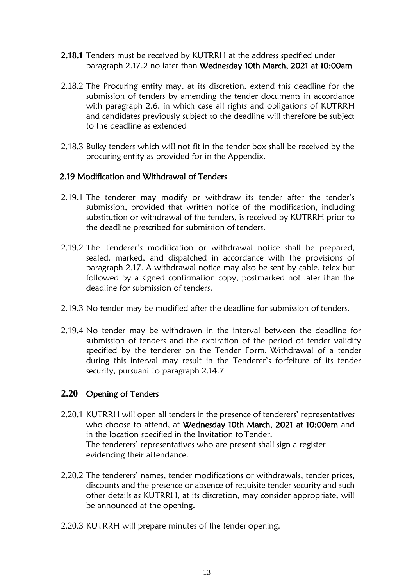- **2.18.1** Tenders must be received by KUTRRH at the address specified under paragraph 2.17.2 no later than Wednesday 10th March, 2021 at 10:00am
- 2.18.2 The Procuring entity may, at its discretion, extend this deadline for the submission of tenders by amending the tender documents in accordance with paragraph 2.6, in which case all rights and obligations of KUTRRH and candidates previously subject to the deadline will therefore be subject to the deadline as extended
- 2.18.3 Bulky tenders which will not fit in the tender box shall be received by the procuring entity as provided for in the Appendix.

#### 2.19 Modification and Withdrawal of Tenders

- 2.19.1 The tenderer may modify or withdraw its tender after the tender's submission, provided that written notice of the modification, including substitution or withdrawal of the tenders, is received by KUTRRH prior to the deadline prescribed for submission of tenders.
- 2.19.2 The Tenderer's modification or withdrawal notice shall be prepared, sealed, marked, and dispatched in accordance with the provisions of paragraph 2.17. A withdrawal notice may also be sent by cable, telex but followed by a signed confirmation copy, postmarked not later than the deadline for submission of tenders.
- 2.19.3 No tender may be modified after the deadline for submission of tenders.
- 2.19.4 No tender may be withdrawn in the interval between the deadline for submission of tenders and the expiration of the period of tender validity specified by the tenderer on the Tender Form. Withdrawal of a tender during this interval may result in the Tenderer's forfeiture of its tender security, pursuant to paragraph 2.14.7

#### **2.20** Opening of Tenders

- 2.20.1 KUTRRH will open all tenders in the presence of tenderers' representatives who choose to attend, at Wednesday 10th March, 2021 at 10:00am and in the location specified in the Invitation toTender. The tenderers' representatives who are present shall sign a register evidencing their attendance.
- 2.20.2 The tenderers' names, tender modifications or withdrawals, tender prices, discounts and the presence or absence of requisite tender security and such other details as KUTRRH, at its discretion, may consider appropriate, will be announced at the opening.
- 2.20.3 KUTRRH will prepare minutes of the tender opening.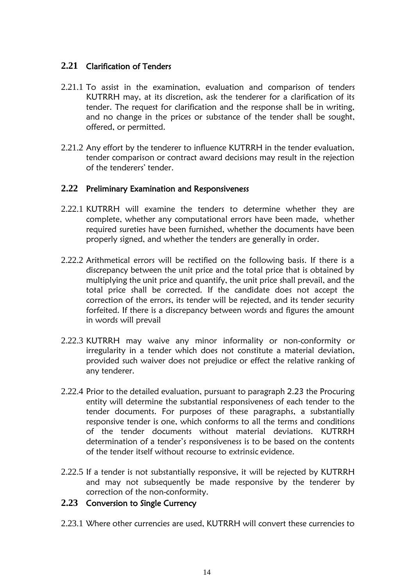## **2.21** Clarification of Tenders

- 2.21.1 To assist in the examination, evaluation and comparison of tenders KUTRRH may, at its discretion, ask the tenderer for a clarification of its tender. The request for clarification and the response shall be in writing, and no change in the prices or substance of the tender shall be sought, offered, or permitted.
- 2.21.2 Any effort by the tenderer to influence KUTRRH in the tender evaluation, tender comparison or contract award decisions may result in the rejection of the tenderers' tender.

### **2.22** Preliminary Examination and Responsiveness

- 2.22.1 KUTRRH will examine the tenders to determine whether they are complete, whether any computational errors have been made, whether required sureties have been furnished, whether the documents have been properly signed, and whether the tenders are generally in order.
- 2.22.2 Arithmetical errors will be rectified on the following basis. If there is a discrepancy between the unit price and the total price that is obtained by multiplying the unit price and quantify, the unit price shall prevail, and the total price shall be corrected. If the candidate does not accept the correction of the errors, its tender will be rejected, and its tender security forfeited. If there is a discrepancy between words and figures the amount in words will prevail
- 2.22.3 KUTRRH may waive any minor informality or non-conformity or irregularity in a tender which does not constitute a material deviation, provided such waiver does not prejudice or effect the relative ranking of any tenderer.
- 2.22.4 Prior to the detailed evaluation, pursuant to paragraph 2.23 the Procuring entity will determine the substantial responsiveness of each tender to the tender documents. For purposes of these paragraphs, a substantially responsive tender is one, which conforms to all the terms and conditions of the tender documents without material deviations. KUTRRH determination of a tender's responsiveness is to be based on the contents of the tender itself without recourse to extrinsic evidence.
- 2.22.5 If a tender is not substantially responsive, it will be rejected by KUTRRH and may not subsequently be made responsive by the tenderer by correction of the non-conformity.

## **2.23** Conversion to Single Currency

2.23.1 Where other currencies are used, KUTRRH will convert these currencies to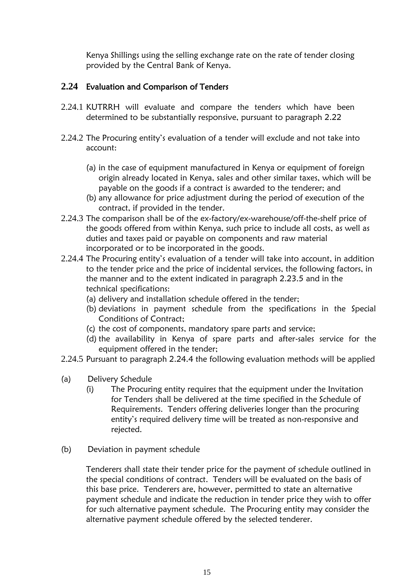Kenya Shillings using the selling exchange rate on the rate of tender closing provided by the Central Bank of Kenya.

## **2.24** Evaluation and Comparison of Tenders

- 2.24.1 KUTRRH will evaluate and compare the tenders which have been determined to be substantially responsive, pursuant to paragraph 2.22
- 2.24.2 The Procuring entity's evaluation of a tender will exclude and not take into account:
	- (a) in the case of equipment manufactured in Kenya or equipment of foreign origin already located in Kenya, sales and other similar taxes, which will be payable on the goods if a contract is awarded to the tenderer; and
	- (b) any allowance for price adjustment during the period of execution of the contract, if provided in the tender.
- 2.24.3 The comparison shall be of the ex-factory/ex-warehouse/off-the-shelf price of the goods offered from within Kenya, such price to include all costs, as well as duties and taxes paid or payable on components and raw material incorporated or to be incorporated in the goods.
- 2.24.4 The Procuring entity's evaluation of a tender will take into account, in addition to the tender price and the price of incidental services, the following factors, in the manner and to the extent indicated in paragraph 2.23.5 and in the technical specifications:
	- (a) delivery and installation schedule offered in the tender;
	- (b) deviations in payment schedule from the specifications in the Special Conditions of Contract;
	- (c) the cost of components, mandatory spare parts and service;
	- (d) the availability in Kenya of spare parts and after-sales service for the equipment offered in the tender;
- 2.24.5 Pursuant to paragraph 2.24.4 the following evaluation methods will be applied
- (a) Delivery Schedule
	- (i) The Procuring entity requires that the equipment under the Invitation for Tenders shall be delivered at the time specified in the Schedule of Requirements. Tenders offering deliveries longer than the procuring entity's required delivery time will be treated as non-responsive and rejected.
- (b) Deviation in payment schedule

Tenderers shall state their tender price for the payment of schedule outlined in the special conditions of contract. Tenders will be evaluated on the basis of this base price. Tenderers are, however, permitted to state an alternative payment schedule and indicate the reduction in tender price they wish to offer for such alternative payment schedule. The Procuring entity may consider the alternative payment schedule offered by the selected tenderer.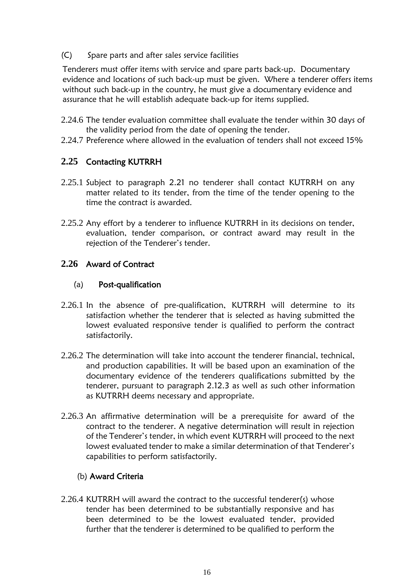(C) Spare parts and after sales service facilities

Tenderers must offer items with service and spare parts back-up. Documentary evidence and locations of such back-up must be given. Where a tenderer offers items without such back-up in the country, he must give a documentary evidence and assurance that he will establish adequate back-up for items supplied.

- 2.24.6 The tender evaluation committee shall evaluate the tender within 30 days of the validity period from the date of opening the tender.
- 2.24.7 Preference where allowed in the evaluation of tenders shall not exceed 15%

## **2.25** Contacting KUTRRH

- 2.25.1 Subject to paragraph 2.21 no tenderer shall contact KUTRRH on any matter related to its tender, from the time of the tender opening to the time the contract is awarded.
- 2.25.2 Any effort by a tenderer to influence KUTRRH in its decisions on tender, evaluation, tender comparison, or contract award may result in the rejection of the Tenderer's tender.

## **2.26** Award of Contract

### (a) Post-qualification

- 2.26.1 In the absence of pre-qualification, KUTRRH will determine to its satisfaction whether the tenderer that is selected as having submitted the lowest evaluated responsive tender is qualified to perform the contract satisfactorily.
- 2.26.2 The determination will take into account the tenderer financial, technical, and production capabilities. It will be based upon an examination of the documentary evidence of the tenderers qualifications submitted by the tenderer, pursuant to paragraph 2.12.3 as well as such other information as KUTRRH deems necessary and appropriate.
- 2.26.3 An affirmative determination will be a prerequisite for award of the contract to the tenderer. A negative determination will result in rejection of the Tenderer's tender, in which event KUTRRH will proceed to the next lowest evaluated tender to make a similar determination of that Tenderer's capabilities to perform satisfactorily.

## (b) Award Criteria

2.26.4 KUTRRH will award the contract to the successful tenderer(s) whose tender has been determined to be substantially responsive and has been determined to be the lowest evaluated tender, provided further that the tenderer is determined to be qualified to perform the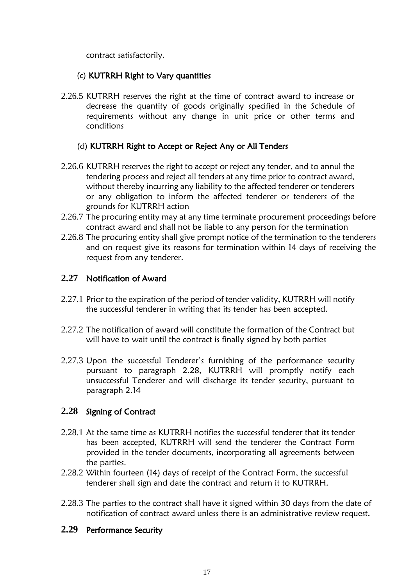contract satisfactorily.

### (c) KUTRRH Right to Vary quantities

2.26.5 KUTRRH reserves the right at the time of contract award to increase or decrease the quantity of goods originally specified in the Schedule of requirements without any change in unit price or other terms and conditions

## (d) KUTRRH Right to Accept or Reject Any or All Tenders

- 2.26.6 KUTRRH reserves the right to accept or reject any tender, and to annul the tendering process and reject all tenders at any time prior to contract award, without thereby incurring any liability to the affected tenderer or tenderers or any obligation to inform the affected tenderer or tenderers of the grounds for KUTRRH action
- 2.26.7 The procuring entity may at any time terminate procurement proceedings before contract award and shall not be liable to any person for the termination
- 2.26.8 The procuring entity shall give prompt notice of the termination to the tenderers and on request give its reasons for termination within 14 days of receiving the request from any tenderer.

## **2.27** Notification of Award

- 2.27.1 Prior to the expiration of the period of tender validity, KUTRRH will notify the successful tenderer in writing that its tender has been accepted.
- 2.27.2 The notification of award will constitute the formation of the Contract but will have to wait until the contract is finally signed by both parties
- 2.27.3 Upon the successful Tenderer's furnishing of the performance security pursuant to paragraph 2.28, KUTRRH will promptly notify each unsuccessful Tenderer and will discharge its tender security, pursuant to paragraph 2.14

## **2.28** Signing of Contract

- 2.28.1 At the same time as KUTRRH notifies the successful tenderer that its tender has been accepted, KUTRRH will send the tenderer the Contract Form provided in the tender documents, incorporating all agreements between the parties.
- 2.28.2 Within fourteen (14) days of receipt of the Contract Form, the successful tenderer shall sign and date the contract and return it to KUTRRH.
- 2.28.3 The parties to the contract shall have it signed within 30 days from the date of notification of contract award unless there is an administrative review request.

## **2.29** Performance Security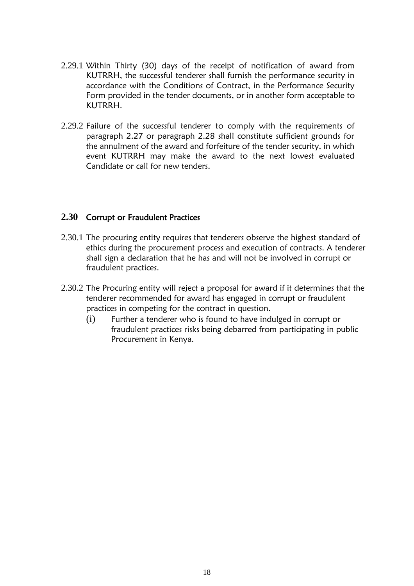- 2.29.1 Within Thirty (30) days of the receipt of notification of award from KUTRRH, the successful tenderer shall furnish the performance security in accordance with the Conditions of Contract, in the Performance Security Form provided in the tender documents, or in another form acceptable to KUTRRH.
- 2.29.2 Failure of the successful tenderer to comply with the requirements of paragraph 2.27 or paragraph 2.28 shall constitute sufficient grounds for the annulment of the award and forfeiture of the tender security, in which event KUTRRH may make the award to the next lowest evaluated Candidate or call for new tenders.

## **2.30** Corrupt or Fraudulent Practices

- 2.30.1 The procuring entity requires that tenderers observe the highest standard of ethics during the procurement process and execution of contracts. A tenderer shall sign a declaration that he has and will not be involved in corrupt or fraudulent practices.
- 2.30.2 The Procuring entity will reject a proposal for award if it determines that the tenderer recommended for award has engaged in corrupt or fraudulent practices in competing for the contract in question.
	- (i) Further a tenderer who is found to have indulged in corrupt or fraudulent practices risks being debarred from participating in public Procurement in Kenya.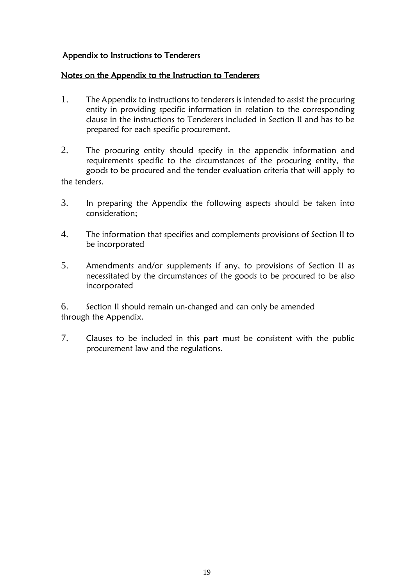## Appendix to Instructions to Tenderers

#### Notes on the Appendix to the Instruction to Tenderers

- 1. The Appendix to instructions to tenderers is intended to assist the procuring entity in providing specific information in relation to the corresponding clause in the instructions to Tenderers included in Section II and has to be prepared for each specific procurement.
- 2. The procuring entity should specify in the appendix information and requirements specific to the circumstances of the procuring entity, the goods to be procured and the tender evaluation criteria that will apply to the tenders.
- 3. In preparing the Appendix the following aspects should be taken into consideration;
- 4. The information that specifies and complements provisions of Section II to be incorporated
- 5. Amendments and/or supplements if any, to provisions of Section II as necessitated by the circumstances of the goods to be procured to be also incorporated

6. Section II should remain un-changed and can only be amended through the Appendix.

7. Clauses to be included in this part must be consistent with the public procurement law and the regulations.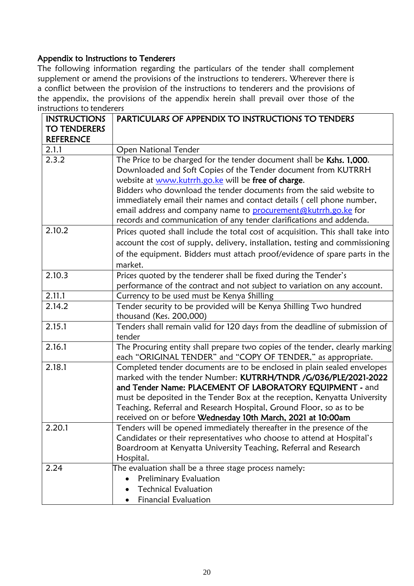# Appendix to Instructions to Tenderers

The following information regarding the particulars of the tender shall complement supplement or amend the provisions of the instructions to tenderers. Wherever there is a conflict between the provision of the instructions to tenderers and the provisions of the appendix, the provisions of the appendix herein shall prevail over those of the instructions to tenderers

| <b>INSTRUCTIONS</b> | PARTICULARS OF APPENDIX TO INSTRUCTIONS TO TENDERS                              |
|---------------------|---------------------------------------------------------------------------------|
| <b>TO TENDERERS</b> |                                                                                 |
| <b>REFERENCE</b>    |                                                                                 |
| 2.1.1               | <b>Open National Tender</b>                                                     |
| 2.3.2               | The Price to be charged for the tender document shall be Kshs. 1,000.           |
|                     | Downloaded and Soft Copies of the Tender document from KUTRRH                   |
|                     | website at www.kutrrh.go.ke will be free of charge.                             |
|                     | Bidders who download the tender documents from the said website to              |
|                     | immediately email their names and contact details (cell phone number,           |
|                     | email address and company name to procurement@kutrrh.go.ke for                  |
|                     | records and communication of any tender clarifications and addenda.             |
| 2.10.2              | Prices quoted shall include the total cost of acquisition. This shall take into |
|                     | account the cost of supply, delivery, installation, testing and commissioning   |
|                     | of the equipment. Bidders must attach proof/evidence of spare parts in the      |
|                     | market.                                                                         |
| 2.10.3              | Prices quoted by the tenderer shall be fixed during the Tender's                |
|                     | performance of the contract and not subject to variation on any account.        |
| 2.11.1              | Currency to be used must be Kenya Shilling                                      |
| 2.14.2              | Tender security to be provided will be Kenya Shilling Two hundred               |
|                     | thousand (Kes. 200,000)                                                         |
| 2.15.1              | Tenders shall remain valid for 120 days from the deadline of submission of      |
|                     | tender                                                                          |
| 2.16.1              | The Procuring entity shall prepare two copies of the tender, clearly marking    |
|                     | each "ORIGINAL TENDER" and "COPY OF TENDER," as appropriate.                    |
| 2.18.1              | Completed tender documents are to be enclosed in plain sealed envelopes         |
|                     | marked with the tender Number: KUTRRH/TNDR /G/036/PLE/2021-2022                 |
|                     | and Tender Name: PLACEMENT OF LABORATORY EQUIPMENT - and                        |
|                     | must be deposited in the Tender Box at the reception, Kenyatta University       |
|                     | Teaching, Referral and Research Hospital, Ground Floor, so as to be             |
|                     | received on or before Wednesday 10th March, 2021 at 10:00am                     |
| 2.20.1              | Tenders will be opened immediately thereafter in the presence of the            |
|                     | Candidates or their representatives who choose to attend at Hospital's          |
|                     | Boardroom at Kenyatta University Teaching, Referral and Research                |
|                     | Hospital.                                                                       |
| 2.24                | The evaluation shall be a three stage process namely:                           |
|                     | <b>Preliminary Evaluation</b>                                                   |
|                     | <b>Technical Evaluation</b>                                                     |
|                     | <b>Financial Evaluation</b>                                                     |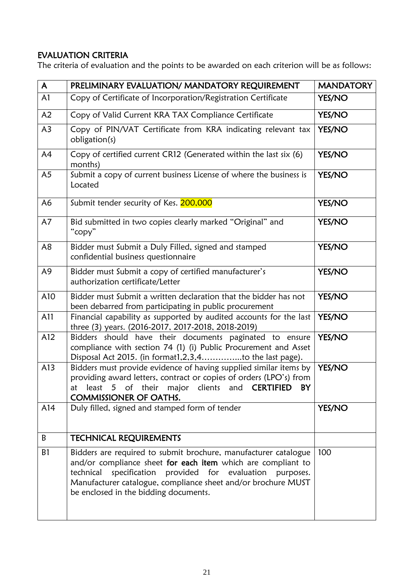## EVALUATION CRITERIA

The criteria of evaluation and the points to be awarded on each criterion will be as follows:

| $\mathsf{A}$   | PRELIMINARY EVALUATION/ MANDATORY REQUIREMENT                                                                                                                                                                                                                                                             | <b>MANDATORY</b> |
|----------------|-----------------------------------------------------------------------------------------------------------------------------------------------------------------------------------------------------------------------------------------------------------------------------------------------------------|------------------|
| A <sub>1</sub> | Copy of Certificate of Incorporation/Registration Certificate                                                                                                                                                                                                                                             | <b>YES/NO</b>    |
| A2             | Copy of Valid Current KRA TAX Compliance Certificate                                                                                                                                                                                                                                                      | <b>YES/NO</b>    |
| A <sub>3</sub> | Copy of PIN/VAT Certificate from KRA indicating relevant tax<br>obligation(s)                                                                                                                                                                                                                             | <b>YES/NO</b>    |
| A4             | Copy of certified current CR12 (Generated within the last six (6)<br>months)                                                                                                                                                                                                                              | <b>YES/NO</b>    |
| A <sub>5</sub> | Submit a copy of current business License of where the business is<br>Located                                                                                                                                                                                                                             | <b>YES/NO</b>    |
| A <sub>6</sub> | Submit tender security of Kes. 200,000                                                                                                                                                                                                                                                                    | <b>YES/NO</b>    |
| A7             | Bid submitted in two copies clearly marked "Original" and<br>"copy"                                                                                                                                                                                                                                       | <b>YES/NO</b>    |
| A8             | Bidder must Submit a Duly Filled, signed and stamped<br>confidential business questionnaire                                                                                                                                                                                                               | <b>YES/NO</b>    |
| A <sub>9</sub> | Bidder must Submit a copy of certified manufacturer's<br>authorization certificate/Letter                                                                                                                                                                                                                 | <b>YES/NO</b>    |
| A10            | Bidder must Submit a written declaration that the bidder has not<br>been debarred from participating in public procurement                                                                                                                                                                                | YES/NO           |
| A11            | Financial capability as supported by audited accounts for the last<br>three (3) years. (2016-2017, 2017-2018, 2018-2019)                                                                                                                                                                                  | <b>YES/NO</b>    |
| A12            | Bidders should have their documents paginated to ensure<br>compliance with section 74 (1) (i) Public Procurement and Asset<br>Disposal Act 2015. (in format1,2,3,4to the last page).                                                                                                                      | <b>YES/NO</b>    |
| A13            | Bidders must provide evidence of having supplied similar items by<br>providing award letters, contract or copies of orders (LPO's) from<br>at least 5 of their major clients and <b>CERTIFIED</b><br>BY<br><b>COMMISSIONER OF OATHS.</b>                                                                  | YES/NO           |
| A14            | Duly filled, signed and stamped form of tender                                                                                                                                                                                                                                                            | <b>YES/NO</b>    |
| B              | <b>TECHNICAL REQUIREMENTS</b>                                                                                                                                                                                                                                                                             |                  |
| B1             | Bidders are required to submit brochure, manufacturer catalogue<br>and/or compliance sheet for each item which are compliant to<br>technical<br>specification provided for evaluation purposes.<br>Manufacturer catalogue, compliance sheet and/or brochure MUST<br>be enclosed in the bidding documents. | 100              |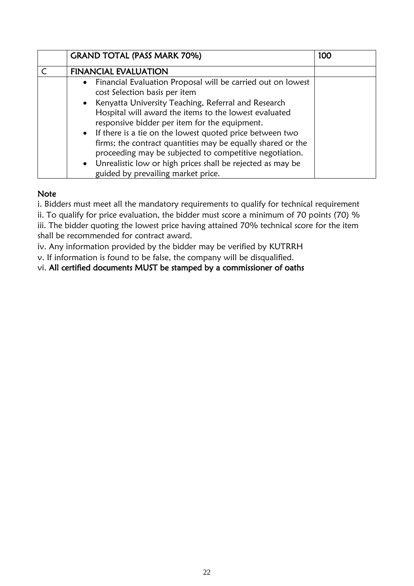| <b>GRAND TOTAL (PASS MARK 70%)</b>                                                                                                                                                   | 100 |
|--------------------------------------------------------------------------------------------------------------------------------------------------------------------------------------|-----|
| <b>FINANCIAL EVALUATION</b>                                                                                                                                                          |     |
| Financial Evaluation Proposal will be carried out on lowest<br>$\bullet$                                                                                                             |     |
| cost Selection basis per item                                                                                                                                                        |     |
| Kenyatta University Teaching, Referral and Research<br>$\bullet$                                                                                                                     |     |
| Hospital will award the items to the lowest evaluated<br>responsive bidder per item for the equipment.                                                                               |     |
| • If there is a tie on the lowest quoted price between two<br>firms; the contract quantities may be equally shared or the<br>proceeding may be subjected to competitive negotiation. |     |
| • Unrealistic low or high prices shall be rejected as may be<br>guided by prevailing market price.                                                                                   |     |

## **Note**

i. Bidders must meet all the mandatory requirements to qualify for technical requirement

ii. To qualify for price evaluation, the bidder must score a minimum of 70 points (70) % iii. The bidder quoting the lowest price having attained 70% technical score for the item shall be recommended for contract award.

iv. Any information provided by the bidder may be verified by KUTRRH

v. If information is found to be false, the company will be disqualified.

vi. All certified documents MUST be stamped by a commissioner of oaths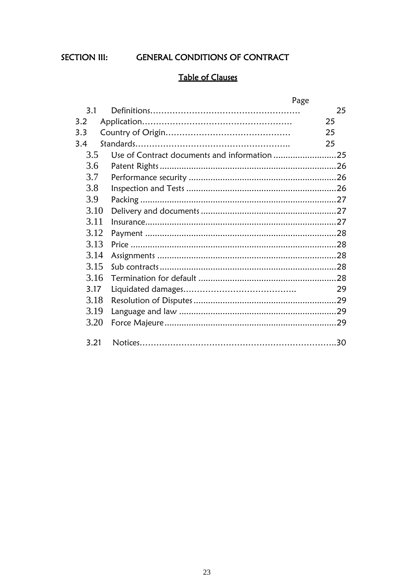SECTION III:

**GENERAL CONDITIONS OF CONTRACT** 

# **Table of Clauses**

|      |                                              | Page |
|------|----------------------------------------------|------|
| 3.1  |                                              | 25   |
| 3.2  |                                              | 25   |
| 3.3  |                                              | 25   |
| 3.4  |                                              | 25   |
| 3.5  | Use of Contract documents and information 25 |      |
| 3.6  |                                              |      |
| 3.7  |                                              |      |
| 3.8  |                                              |      |
| 3.9  |                                              |      |
| 3.10 |                                              |      |
| 3.11 |                                              |      |
| 3.12 |                                              |      |
| 3.13 |                                              |      |
| 3.14 |                                              |      |
| 3.15 |                                              |      |
| 3.16 |                                              |      |
| 3.17 |                                              | 29   |
| 3.18 |                                              |      |
| 3.19 |                                              |      |
| 3.20 |                                              |      |
|      |                                              |      |
| 3.21 |                                              | 30   |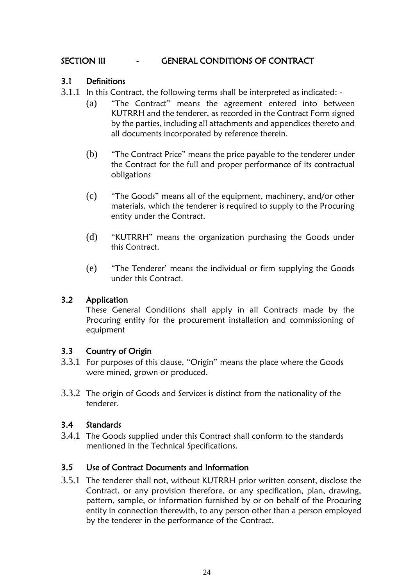## SECTION III - GENERAL CONDITIONS OF CONTRACT

## 3.1 Definitions

- 3.1.1 In this Contract, the following terms shall be interpreted as indicated:
	- (a) "The Contract" means the agreement entered into between KUTRRH and the tenderer, as recorded in the Contract Form signed by the parties, including all attachments and appendices thereto and all documents incorporated by reference therein.
	- (b) "The Contract Price" means the price payable to the tenderer under the Contract for the full and proper performance of its contractual obligations
	- (c) "The Goods" means all of the equipment, machinery, and/or other materials, which the tenderer is required to supply to the Procuring entity under the Contract.
	- (d) "KUTRRH" means the organization purchasing the Goods under this Contract.
	- (e) "The Tenderer' means the individual or firm supplying the Goods under this Contract.

## 3.2 Application

These General Conditions shall apply in all Contracts made by the Procuring entity for the procurement installation and commissioning of equipment

## 3.3 Country of Origin

- 3.3.1 For purposes of this clause, "Origin" means the place where the Goods were mined, grown or produced.
- 3.3.2 The origin of Goods and Services is distinct from the nationality of the tenderer.

## 3.4 Standards

3.4.1 The Goods supplied under this Contract shall conform to the standards mentioned in the Technical Specifications.

## <span id="page-23-0"></span>3.5 Use of Contract Documents and Information

3.5.1 The tenderer shall not, without KUTRRH prior written consent, disclose the Contract, or any provision therefore, or any specification, plan, drawing, pattern, sample, or information furnished by or on behalf of the Procuring entity in connection therewith, to any person other than a person employed by the tenderer in the performance of the Contract.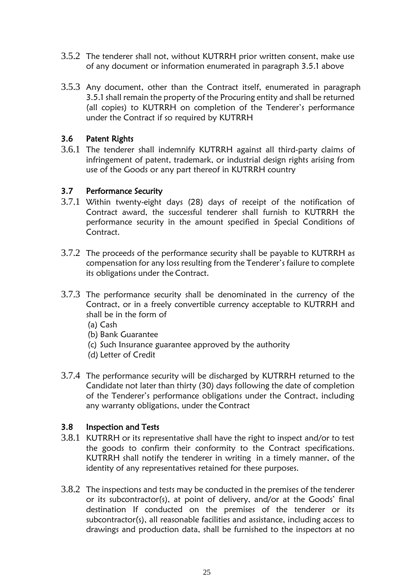- 3.5.2 The tenderer shall not, without KUTRRH prior written consent, make use of any document or information enumerated in paragraph 3.5.1 above
- 3.5.3 Any document, other than the Contract itself, enumerated in paragraph 3.5.1 shall remain the property of the Procuring entity and shall be returned (all copies) to KUTRRH on completion of the Tenderer's performance under the Contract if so required by KUTRRH

## <span id="page-24-0"></span>3.6 Patent Rights

3.6.1 The tenderer shall indemnify KUTRRH against all third-party claims of infringement of patent, trademark, or industrial design rights arising from use of the Goods or any part thereof in KUTRRH country

## <span id="page-24-1"></span>3.7 Performance Security

- 3.7.1 Within twenty-eight days (28) days of receipt of the notification of Contract award, the successful tenderer shall furnish to KUTRRH the performance security in the amount specified in Special Conditions of Contract.
- 3.7.2 The proceeds of the performance security shall be payable to KUTRRH as compensation for any loss resulting from the Tenderer's failure to complete its obligations under the Contract.
- 3.7.3 The performance security shall be denominated in the currency of the Contract, or in a freely convertible currency acceptable to KUTRRH and shall be in the form of
	- (a) Cash
	- (b) Bank Guarantee
	- (c) Such Insurance guarantee approved by the authority
	- (d) Letter of Credit
- 3.7.4 The performance security will be discharged by KUTRRH returned to the Candidate not later than thirty (30) days following the date of completion of the Tenderer's performance obligations under the Contract, including any warranty obligations, under the Contract

## <span id="page-24-2"></span>3.8 Inspection and Tests

- 3.8.1 KUTRRH or its representative shall have the right to inspect and/or to test the goods to confirm their conformity to the Contract specifications. KUTRRH shall notify the tenderer in writing in a timely manner, of the identity of any representatives retained for these purposes.
- 3.8.2 The inspections and tests may be conducted in the premises of the tenderer or its subcontractor(s), at point of delivery, and/or at the Goods' final destination If conducted on the premises of the tenderer or its subcontractor(s), all reasonable facilities and assistance, including access to drawings and production data, shall be furnished to the inspectors at no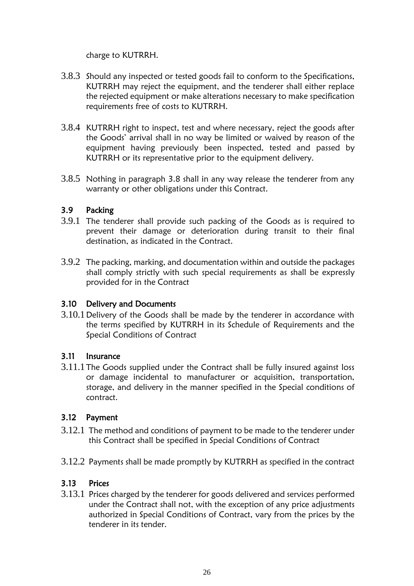charge to KUTRRH.

- 3.8.3 Should any inspected or tested goods fail to conform to the Specifications, KUTRRH may reject the equipment, and the tenderer shall either replace the rejected equipment or make alterations necessary to make specification requirements free of costs to KUTRRH.
- 3.8.4 KUTRRH right to inspect, test and where necessary, reject the goods after the Goods' arrival shall in no way be limited or waived by reason of the equipment having previously been inspected, tested and passed by KUTRRH or its representative prior to the equipment delivery.
- 3.8.5 Nothing in paragraph 3.8 shall in any way release the tenderer from any warranty or other obligations under this Contract.

## <span id="page-25-0"></span>3.9 Packing

- 3.9.1 The tenderer shall provide such packing of the Goods as is required to prevent their damage or deterioration during transit to their final destination, as indicated in the Contract.
- 3.9.2 The packing, marking, and documentation within and outside the packages shall comply strictly with such special requirements as shall be expressly provided for in the Contract

## <span id="page-25-1"></span>3.10 Delivery and Documents

3.10.1Delivery of the Goods shall be made by the tenderer in accordance with the terms specified by KUTRRH in its Schedule of Requirements and the Special Conditions of Contract

## <span id="page-25-2"></span>3.11 Insurance

3.11.1The Goods supplied under the Contract shall be fully insured against loss or damage incidental to manufacturer or acquisition, transportation, storage, and delivery in the manner specified in the Special conditions of contract.

## <span id="page-25-3"></span>3.12 Payment

- 3.12.1 The method and conditions of payment to be made to the tenderer under this Contract shall be specified in Special Conditions of Contract
- 3.12.2 Payments shall be made promptly by KUTRRH as specified in the contract

## 3.13 Prices

3.13.1 Prices charged by the tenderer for goods delivered and services performed under the Contract shall not, with the exception of any price adjustments authorized in Special Conditions of Contract, vary from the prices by the tenderer in its tender.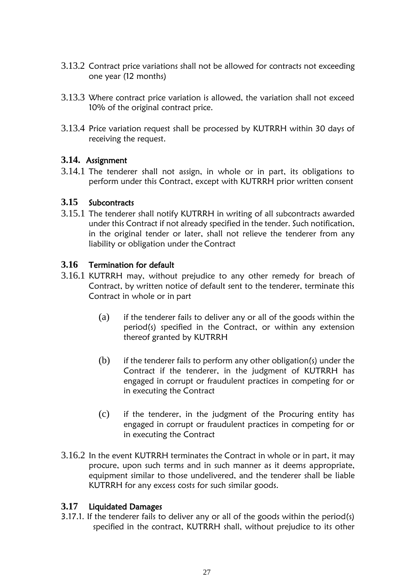- 3.13.2 Contract price variations shall not be allowed for contracts not exceeding one year (12 months)
- 3.13.3 Where contract price variation is allowed, the variation shall not exceed 10% of the original contract price.
- 3.13.4 Price variation request shall be processed by KUTRRH within 30 days of receiving the request.

## **3.14.** Assignment

3.14.1 The tenderer shall not assign, in whole or in part, its obligations to perform under this Contract, except with KUTRRH prior written consent

## <span id="page-26-0"></span>**3.15** Subcontracts

3.15.1 The tenderer shall notify KUTRRH in writing of all subcontracts awarded under this Contract if not already specified in the tender. Such notification, in the original tender or later, shall not relieve the tenderer from any liability or obligation under the Contract

## <span id="page-26-1"></span>**3.16** Termination for default

- 3.16.1 KUTRRH may, without prejudice to any other remedy for breach of Contract, by written notice of default sent to the tenderer, terminate this Contract in whole or in part
	- (a) if the tenderer fails to deliver any or all of the goods within the period(s) specified in the Contract, or within any extension thereof granted by KUTRRH
	- $(b)$  if the tenderer fails to perform any other obligation(s) under the Contract if the tenderer, in the judgment of KUTRRH has engaged in corrupt or fraudulent practices in competing for or in executing the Contract
	- (c) if the tenderer, in the judgment of the Procuring entity has engaged in corrupt or fraudulent practices in competing for or in executing the Contract
- 3.16.2 In the event KUTRRH terminates the Contract in whole or in part, it may procure, upon such terms and in such manner as it deems appropriate, equipment similar to those undelivered, and the tenderer shall be liable KUTRRH for any excess costs for such similar goods.

## <span id="page-26-2"></span>**3.17** Liquidated Damages

3.17.1. If the tenderer fails to deliver any or all of the goods within the period(s) specified in the contract, KUTRRH shall, without prejudice to its other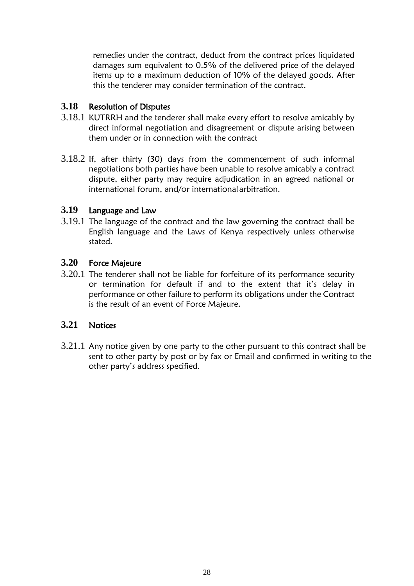remedies under the contract, deduct from the contract prices liquidated damages sum equivalent to 0.5% of the delivered price of the delayed items up to a maximum deduction of 10% of the delayed goods. After this the tenderer may consider termination of the contract.

## <span id="page-27-0"></span>**3.18** Resolution of Disputes

- 3.18.1 KUTRRH and the tenderer shall make every effort to resolve amicably by direct informal negotiation and disagreement or dispute arising between them under or in connection with the contract
- 3.18.2 If, after thirty (30) days from the commencement of such informal negotiations both parties have been unable to resolve amicably a contract dispute, either party may require adjudication in an agreed national or international forum, and/or internationalarbitration.

## <span id="page-27-1"></span>**3.19** Language and Law

3.19.1 The language of the contract and the law governing the contract shall be English language and the Laws of Kenya respectively unless otherwise stated.

## <span id="page-27-2"></span>**3.20** Force Majeure

3.20.1 The tenderer shall not be liable for forfeiture of its performance security or termination for default if and to the extent that it's delay in performance or other failure to perform its obligations under the Contract is the result of an event of Force Majeure.

## **3.21** Notices

3.21.1 Any notice given by one party to the other pursuant to this contract shall be sent to other party by post or by fax or Email and confirmed in writing to the other party's address specified.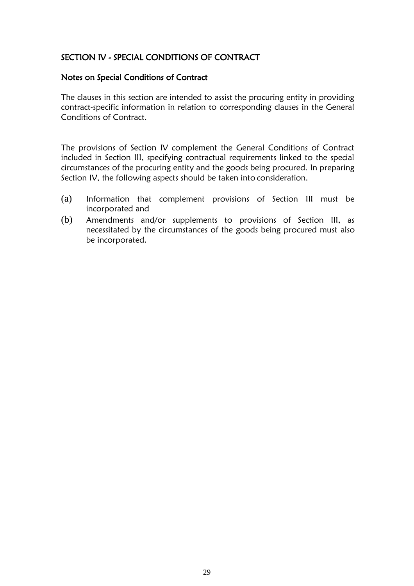## SECTION IV - SPECIAL CONDITIONS OF CONTRACT

#### Notes on Special Conditions of Contract

The clauses in this section are intended to assist the procuring entity in providing contract-specific information in relation to corresponding clauses in the General Conditions of Contract.

The provisions of Section IV complement the General Conditions of Contract included in Section III, specifying contractual requirements linked to the special circumstances of the procuring entity and the goods being procured. In preparing Section IV, the following aspects should be taken into consideration.

- (a) Information that complement provisions of Section III must be incorporated and
- (b) Amendments and/or supplements to provisions of Section III, as necessitated by the circumstances of the goods being procured must also be incorporated.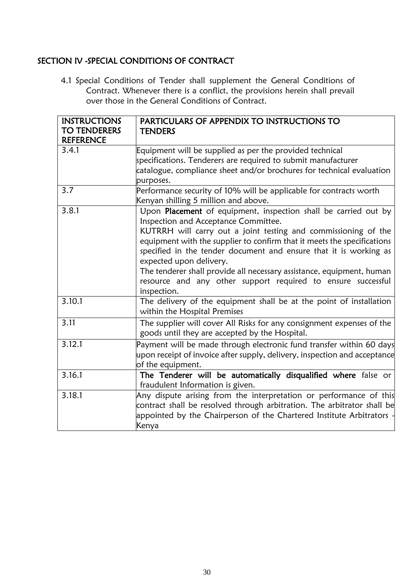# SECTION IV -SPECIAL CONDITIONS OF CONTRACT

4.1 Special Conditions of Tender shall supplement the General Conditions of Contract. Whenever there is a conflict, the provisions herein shall prevail over those in the General Conditions of Contract.

| <b>INSTRUCTIONS</b><br><b>TO TENDERERS</b><br><b>REFERENCE</b> | PARTICULARS OF APPENDIX TO INSTRUCTIONS TO<br><b>TENDERS</b>                                                                                                                                                                              |
|----------------------------------------------------------------|-------------------------------------------------------------------------------------------------------------------------------------------------------------------------------------------------------------------------------------------|
| 3.4.1                                                          | Equipment will be supplied as per the provided technical                                                                                                                                                                                  |
|                                                                | specifications. Tenderers are required to submit manufacturer                                                                                                                                                                             |
|                                                                | catalogue, compliance sheet and/or brochures for technical evaluation<br>purposes.                                                                                                                                                        |
| 3.7                                                            | Performance security of 10% will be applicable for contracts worth                                                                                                                                                                        |
|                                                                | Kenyan shilling 5 million and above.                                                                                                                                                                                                      |
| 3.8.1                                                          | Upon Placement of equipment, inspection shall be carried out by<br>Inspection and Acceptance Committee.                                                                                                                                   |
|                                                                | KUTRRH will carry out a joint testing and commissioning of the<br>equipment with the supplier to confirm that it meets the specifications<br>specified in the tender document and ensure that it is working as<br>expected upon delivery. |
|                                                                | The tenderer shall provide all necessary assistance, equipment, human<br>resource and any other support required to ensure successful<br>inspection.                                                                                      |
| 3.10.1                                                         | The delivery of the equipment shall be at the point of installation<br>within the Hospital Premises                                                                                                                                       |
| 3.11                                                           | The supplier will cover All Risks for any consignment expenses of the<br>goods until they are accepted by the Hospital.                                                                                                                   |
| 3.12.1                                                         | Payment will be made through electronic fund transfer within 60 days<br>upon receipt of invoice after supply, delivery, inspection and acceptance<br>of the equipment.                                                                    |
| 3.16.1                                                         | The Tenderer will be automatically disqualified where false or<br>fraudulent Information is given.                                                                                                                                        |
| 3.18.1                                                         | Any dispute arising from the interpretation or performance of this<br>contract shall be resolved through arbitration. The arbitrator shall be<br>appointed by the Chairperson of the Chartered Institute Arbitrators -<br>Kenya           |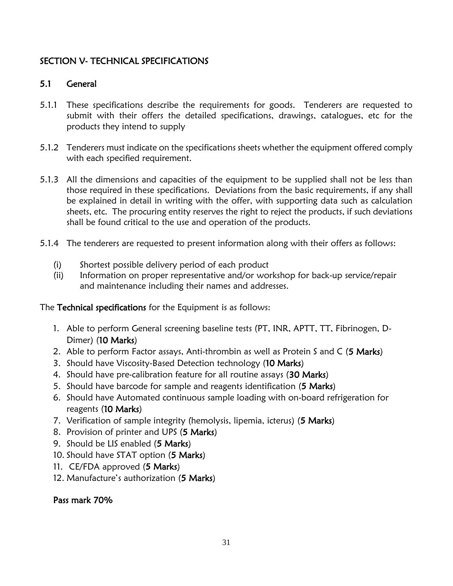## SECTION V- TECHNICAL SPECIFICATIONS

## 5.1 General

- 5.1.1 These specifications describe the requirements for goods. Tenderers are requested to submit with their offers the detailed specifications, drawings, catalogues, etc for the products they intend to supply
- 5.1.2 Tenderers must indicate on the specifications sheets whether the equipment offered comply with each specified requirement.
- 5.1.3 All the dimensions and capacities of the equipment to be supplied shall not be less than those required in these specifications. Deviations from the basic requirements, if any shall be explained in detail in writing with the offer, with supporting data such as calculation sheets, etc. The procuring entity reserves the right to reject the products, if such deviations shall be found critical to the use and operation of the products.
- 5.1.4 The tenderers are requested to present information along with their offers as follows:
	- (i) Shortest possible delivery period of each product
	- (ii) Information on proper representative and/or workshop for back-up service/repair and maintenance including their names and addresses.

The Technical specifications for the Equipment is as follows:

- 1. Able to perform General screening baseline tests (PT, INR, APTT, TT, Fibrinogen, D-Dimer) (10 Marks)
- 2. Able to perform Factor assays, Anti-thrombin as well as Protein S and C (5 Marks)
- 3. Should have Viscosity-Based Detection technology (10 Marks)
- 4. Should have pre-calibration feature for all routine assays (30 Marks)
- 5. Should have barcode for sample and reagents identification (5 Marks)
- 6. Should have Automated continuous sample loading with on-board refrigeration for reagents (10 Marks)
- 7. Verification of sample integrity (hemolysis, lipemia, icterus) (5 Marks)
- 8. Provision of printer and UPS (5 Marks)
- 9. Should be LIS enabled (5 Marks)
- 10. Should have STAT option (5 Marks)
- 11. CE/FDA approved (5 Marks)
- 12. Manufacture's authorization (5 Marks)

## Pass mark 70%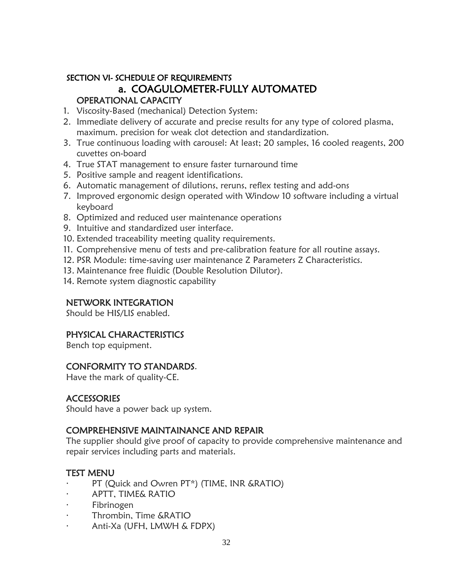## SECTION VI- SCHEDULE OF REQUIREMENTS a. COAGULOMETER-FULLY AUTOMATED OPERATIONAL CAPACITY

- 1. Viscosity-Based (mechanical) Detection System:
- 2. Immediate delivery of accurate and precise results for any type of colored plasma, maximum. precision for weak clot detection and standardization.
- 3. True continuous loading with carousel: At least; 20 samples, 16 cooled reagents, 200 cuvettes on-board
- 4. True STAT management to ensure faster turnaround time
- 5. Positive sample and reagent identifications.
- 6. Automatic management of dilutions, reruns, reflex testing and add-ons
- 7. Improved ergonomic design operated with Window 10 software including a virtual keyboard
- 8. Optimized and reduced user maintenance operations
- 9. Intuitive and standardized user interface.
- 10. Extended traceability meeting quality requirements.
- 11. Comprehensive menu of tests and pre-calibration feature for all routine assays.
- 12. PSR Module: time-saving user maintenance Z Parameters Z Characteristics.
- 13. Maintenance free fluidic (Double Resolution Dilutor).
- 14. Remote system diagnostic capability

#### NETWORK INTEGRATION

Should be HIS/LIS enabled.

## PHYSICAL CHARACTERISTICS

Bench top equipment.

## CONFORMITY TO STANDARDS.

Have the mark of quality-CE.

#### **ACCESSORIES**

Should have a power back up system.

## COMPREHENSIVE MAINTAINANCE AND REPAIR

The supplier should give proof of capacity to provide comprehensive maintenance and repair services including parts and materials.

## TEST MENU

- PT (Quick and Owren PT\*) (TIME, INR &RATIO)
- · APTT, TIME& RATIO
- · Fibrinogen
- · Thrombin, Time &RATIO
- · Anti-Xa (UFH, LMWH & FDPX)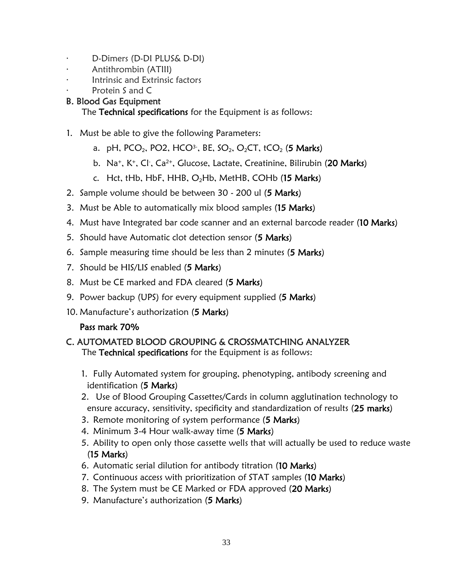- · D-Dimers (D-DI PLUS& D-DI)
- · Antithrombin (ATIII)
- · Intrinsic and Extrinsic factors
- Protein S and C

## B. Blood Gas Equipment

The Technical specifications for the Equipment is as follows:

- 1. Must be able to give the following Parameters:
	- a. pH, PCO<sub>2</sub>, PO2, HCO<sup>3-</sup>, BE, SO<sub>2</sub>, O<sub>2</sub>CT, tCO<sub>2</sub> (**5 Marks**)
	- b. Na<sup>+</sup>, K<sup>+</sup>, Cl<sup>-</sup>, Ca<sup>2+</sup>, Glucose, Lactate, Creatinine, Bilirubin (20 Marks)
	- c. Hct, tHb, HbF, HHB,  $O<sub>2</sub>Hb$ , MetHB, COHb (15 Marks)
- 2. Sample volume should be between 30 200 ul (5 Marks)
- 3. Must be Able to automatically mix blood samples (15 Marks)
- 4. Must have Integrated bar code scanner and an external barcode reader (10 Marks)
- 5. Should have Automatic clot detection sensor (5 Marks)
- 6. Sample measuring time should be less than 2 minutes (5 Marks)
- 7. Should be HIS/LIS enabled (5 Marks)
- 8. Must be CE marked and FDA cleared (5 Marks)
- 9. Power backup (UPS) for every equipment supplied (5 Marks)
- 10. Manufacture's authorization (5 Marks)

## Pass mark 70%

# C. AUTOMATED BLOOD GROUPING & CROSSMATCHING ANALYZER

The Technical specifications for the Equipment is as follows:

- 1. Fully Automated system for grouping, phenotyping, antibody screening and identification (5 Marks)
- 2. Use of Blood Grouping Cassettes/Cards in column agglutination technology to ensure accuracy, sensitivity, specificity and standardization of results (25 marks)
- 3. Remote monitoring of system performance (5 Marks)
- 4. Minimum 3-4 Hour walk-away time (5 Marks)
- 5. Ability to open only those cassette wells that will actually be used to reduce waste (15 Marks)
- 6. Automatic serial dilution for antibody titration (10 Marks)
- 7. Continuous access with prioritization of STAT samples (10 Marks)
- 8. The System must be CE Marked or FDA approved (20 Marks)
- 9. Manufacture's authorization (5 Marks)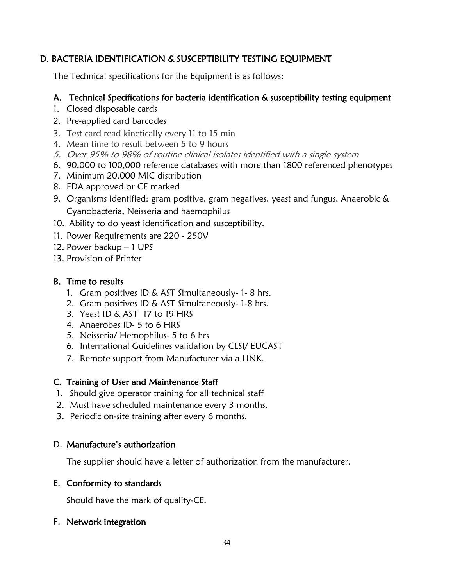## D. BACTERIA IDENTIFICATION & SUSCEPTIBILITY TESTING EQUIPMENT

The Technical specifications for the Equipment is as follows:

## A. Technical Specifications for bacteria identification & susceptibility testing equipment

- 1. Closed disposable cards
- 2. Pre-applied card barcodes
- 3. Test card read kinetically every 11 to 15 min
- 4. Mean time to result between 5 to 9 hours
- 5. Over 95% to 98% of routine clinical isolates identified with a single system
- 6. 90,000 to 100,000 reference databases with more than 1800 referenced phenotypes
- 7. Minimum 20,000 MIC distribution
- 8. FDA approved or CE marked
- 9. Organisms identified: gram positive, gram negatives, yeast and fungus, Anaerobic & Cyanobacteria, Neisseria and haemophilus
- 10. Ability to do yeast identification and susceptibility.
- 11. Power Requirements are 220 250V
- 12. Power backup 1 UPS
- 13. Provision of Printer

## B. Time to results

- 1. Gram positives ID & AST Simultaneously- 1- 8 hrs.
- 2. Gram positives ID & AST Simultaneously- 1-8 hrs.
- 3. Yeast ID & AST 17 to 19 HRS
- 4. Anaerobes ID- 5 to 6 HRS
- 5. Neisseria/ Hemophilus- 5 to 6 hrs
- 6. International Guidelines validation by CLSI/ EUCAST
- 7. Remote support from Manufacturer via a LINK.

## C. Training of User and Maintenance Staff

- 1. Should give operator training for all technical staff
- 2. Must have scheduled maintenance every 3 months.
- 3. Periodic on-site training after every 6 months.

## D. Manufacture's authorization

The supplier should have a letter of authorization from the manufacturer.

## E. Conformity to standards

Should have the mark of quality-CE.

## F. Network integration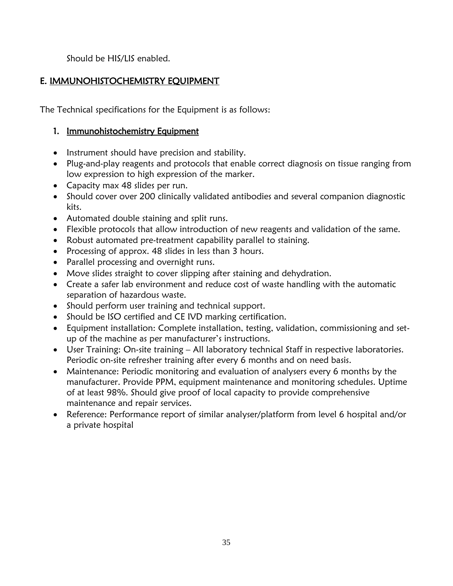Should be HIS/LIS enabled.

## E. IMMUNOHISTOCHEMISTRY EQUIPMENT

The Technical specifications for the Equipment is as follows:

## 1. Immunohistochemistry Equipment

- Instrument should have precision and stability.
- Plug-and-play reagents and protocols that enable correct diagnosis on tissue ranging from low expression to high expression of the marker.
- Capacity max 48 slides per run.
- Should cover over 200 clinically validated antibodies and several companion diagnostic kits.
- Automated double staining and split runs.
- Flexible protocols that allow introduction of new reagents and validation of the same.
- Robust automated pre-treatment capability parallel to staining.
- Processing of approx. 48 slides in less than 3 hours.
- Parallel processing and overnight runs.
- Move slides straight to cover slipping after staining and dehydration.
- Create a safer lab environment and reduce cost of waste handling with the automatic separation of hazardous waste.
- Should perform user training and technical support.
- Should be ISO certified and CE IVD marking certification.
- Equipment installation: Complete installation, testing, validation, commissioning and setup of the machine as per manufacturer's instructions.
- User Training: On-site training All laboratory technical Staff in respective laboratories. Periodic on-site refresher training after every 6 months and on need basis.
- Maintenance: Periodic monitoring and evaluation of analysers every 6 months by the manufacturer. Provide PPM, equipment maintenance and monitoring schedules. Uptime of at least 98%. Should give proof of local capacity to provide comprehensive maintenance and repair services.
- Reference: Performance report of similar analyser/platform from level 6 hospital and/or a private hospital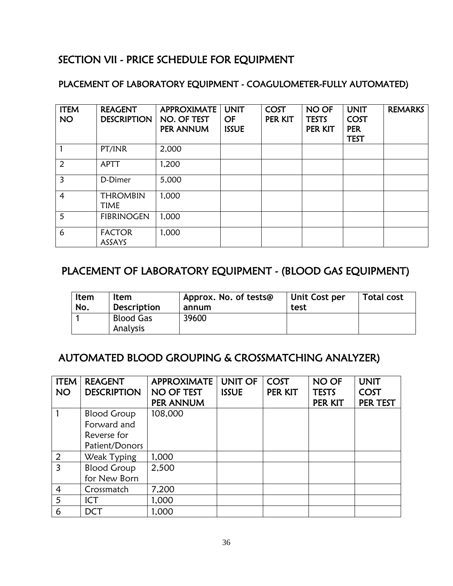# SECTION VII - PRICE SCHEDULE FOR EQUIPMENT

## PLACEMENT OF LABORATORY EQUIPMENT - COAGULOMETER-FULLY AUTOMATED)

| <b>ITEM</b><br><b>NO</b> | <b>REAGENT</b><br><b>DESCRIPTION</b> | <b>APPROXIMATE</b><br>NO. OF TEST<br>PER ANNUM | <b>UNIT</b><br><b>OF</b><br><b>ISSUE</b> | <b>COST</b><br>PER KIT | NO OF<br><b>TESTS</b><br>PER KIT | <b>UNIT</b><br><b>COST</b><br><b>PER</b><br><b>TEST</b> | <b>REMARKS</b> |
|--------------------------|--------------------------------------|------------------------------------------------|------------------------------------------|------------------------|----------------------------------|---------------------------------------------------------|----------------|
|                          | PT/INR                               | 2,000                                          |                                          |                        |                                  |                                                         |                |
| $\overline{2}$           | <b>APTT</b>                          | 1,200                                          |                                          |                        |                                  |                                                         |                |
| 3                        | D-Dimer                              | 5,000                                          |                                          |                        |                                  |                                                         |                |
| 4                        | <b>THROMBIN</b><br><b>TIME</b>       | 1,000                                          |                                          |                        |                                  |                                                         |                |
| 5                        | <b>FIBRINOGEN</b>                    | 1,000                                          |                                          |                        |                                  |                                                         |                |
| 6                        | <b>FACTOR</b><br>ASSAYS              | 1,000                                          |                                          |                        |                                  |                                                         |                |

# PLACEMENT OF LABORATORY EQUIPMENT - (BLOOD GAS EQUIPMENT)

| Item | <b>Item</b>                  | Approx. No. of tests@ | Unit Cost per | <b>Total cost</b> |
|------|------------------------------|-----------------------|---------------|-------------------|
| No.  | <b>Description</b>           | annum                 | test          |                   |
|      | <b>Blood Gas</b><br>Analysis | 39600                 |               |                   |

# AUTOMATED BLOOD GROUPING & CROSSMATCHING ANALYZER)

| <b>ITEM</b>    | <b>REAGENT</b>     | <b>APPROXIMATE</b> | <b>UNIT OF</b> | COST    | NO OF        | <b>UNIT</b> |
|----------------|--------------------|--------------------|----------------|---------|--------------|-------------|
| <b>NO</b>      | <b>DESCRIPTION</b> | NO OF TEST         | <b>ISSUE</b>   | PER KIT | <b>TESTS</b> | COST        |
|                |                    | PER ANNUM          |                |         | PER KIT      | PER TEST    |
|                | <b>Blood Group</b> | 108,000            |                |         |              |             |
|                | Forward and        |                    |                |         |              |             |
|                | Reverse for        |                    |                |         |              |             |
|                | Patient/Donors     |                    |                |         |              |             |
| 2              | Weak Typing        | 1,000              |                |         |              |             |
| $\overline{3}$ | <b>Blood Group</b> | 2,500              |                |         |              |             |
|                | for New Born       |                    |                |         |              |             |
| $\overline{4}$ | Crossmatch         | 7,200              |                |         |              |             |
| 5              | ICT                | 1,000              |                |         |              |             |
| 6              | <b>DCT</b>         | 1,000              |                |         |              |             |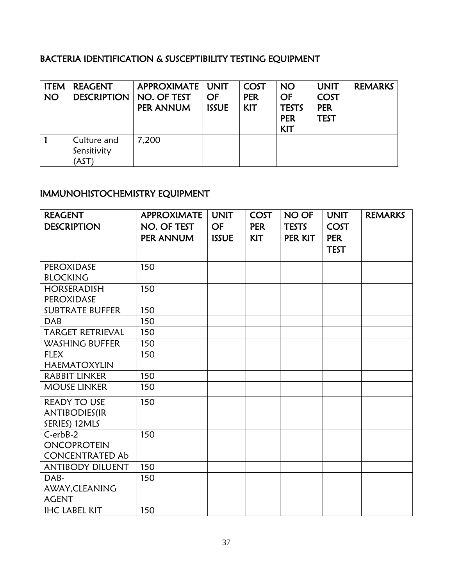## BACTERIA IDENTIFICATION & SUSCEPTIBILITY TESTING EQUIPMENT

| <b>ITEM</b><br><b>NO</b> | <b>REAGENT</b><br><b>DESCRIPTION</b> | APPROXIMATE   UNIT<br>  NO. OF TEST<br>PER ANNUM | OF<br><b>ISSUE</b> | COST<br><b>PER</b><br><b>KIT</b> | <b>NO</b><br><b>OF</b><br><b>TESTS</b><br><b>PER</b><br><b>KIT</b> | <b>UNIT</b><br><b>COST</b><br><b>PER</b><br><b>TEST</b> | <b>REMARKS</b> |
|--------------------------|--------------------------------------|--------------------------------------------------|--------------------|----------------------------------|--------------------------------------------------------------------|---------------------------------------------------------|----------------|
|                          | Culture and<br>Sensitivity<br>AST)   | 7.200                                            |                    |                                  |                                                                    |                                                         |                |

# IMMUNOHISTOCHEMISTRY EQUIPMENT

| <b>REAGENT</b>          | <b>APPROXIMATE</b> | <b>UNIT</b>  | <b>COST</b> | <b>NO OF</b> | <b>UNIT</b> | <b>REMARKS</b> |
|-------------------------|--------------------|--------------|-------------|--------------|-------------|----------------|
| <b>DESCRIPTION</b>      | NO. OF TEST        | <b>OF</b>    | <b>PER</b>  | <b>TESTS</b> | <b>COST</b> |                |
|                         | PER ANNUM          | <b>ISSUE</b> | <b>KIT</b>  | PER KIT      | <b>PER</b>  |                |
|                         |                    |              |             |              | <b>TEST</b> |                |
|                         |                    |              |             |              |             |                |
| <b>PEROXIDASE</b>       | 150                |              |             |              |             |                |
| <b>BLOCKING</b>         |                    |              |             |              |             |                |
| <b>HORSERADISH</b>      | 150                |              |             |              |             |                |
| <b>PEROXIDASE</b>       |                    |              |             |              |             |                |
| <b>SUBTRATE BUFFER</b>  | 150                |              |             |              |             |                |
| <b>DAB</b>              | 150                |              |             |              |             |                |
| <b>TARGET RETRIEVAL</b> | 150                |              |             |              |             |                |
| <b>WASHING BUFFER</b>   | 150                |              |             |              |             |                |
| <b>FLEX</b>             | 150                |              |             |              |             |                |
| <b>HAEMATOXYLIN</b>     |                    |              |             |              |             |                |
| <b>RABBIT LINKER</b>    | 150                |              |             |              |             |                |
| <b>MOUSE LINKER</b>     | 150                |              |             |              |             |                |
| <b>READY TO USE</b>     | 150                |              |             |              |             |                |
| <b>ANTIBODIES(IR</b>    |                    |              |             |              |             |                |
| SERIES) 12MLS           |                    |              |             |              |             |                |
| $C-erbB-2$              | 150                |              |             |              |             |                |
| <b>ONCOPROTEIN</b>      |                    |              |             |              |             |                |
| <b>CONCENTRATED Ab</b>  |                    |              |             |              |             |                |
| <b>ANTIBODY DILUENT</b> | 150                |              |             |              |             |                |
| DAB-                    | 150                |              |             |              |             |                |
| AWAY, CLEANING          |                    |              |             |              |             |                |
| <b>AGENT</b>            |                    |              |             |              |             |                |
| <b>IHC LABEL KIT</b>    | 150                |              |             |              |             |                |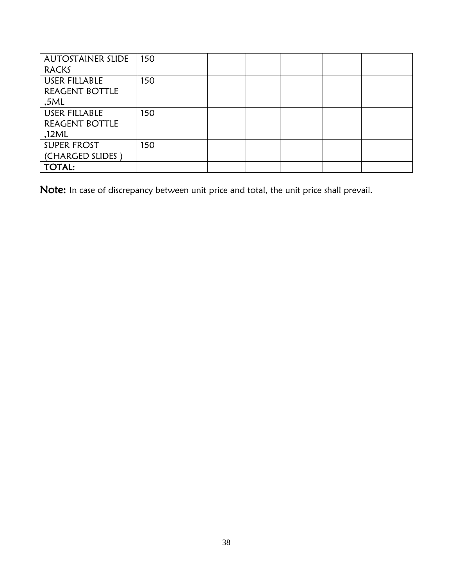| <b>AUTOSTAINER SLIDE</b> | 150 |  |  |  |
|--------------------------|-----|--|--|--|
| <b>RACKS</b>             |     |  |  |  |
| USER FILLABLE            | 150 |  |  |  |
| REAGENT BOTTLE           |     |  |  |  |
| ,5ML                     |     |  |  |  |
| USER FILLABLE            | 150 |  |  |  |
| REAGENT BOTTLE           |     |  |  |  |
| ,12ML                    |     |  |  |  |
| <b>SUPER FROST</b>       | 150 |  |  |  |
| (CHARGED SLIDES)         |     |  |  |  |
| <b>TOTAL:</b>            |     |  |  |  |

Note: In case of discrepancy between unit price and total, the unit price shall prevail.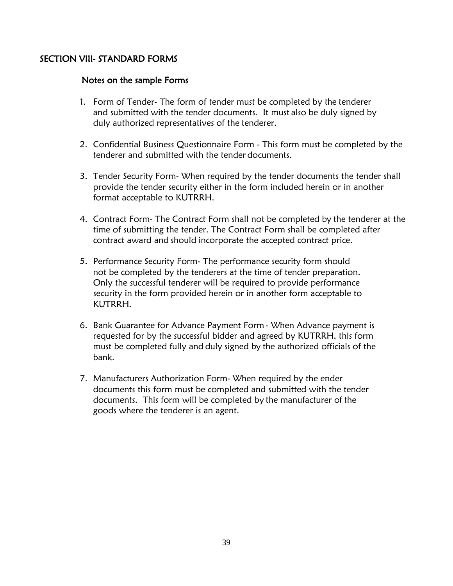### SECTION VIII- STANDARD FORMS

#### Notes on the sample Forms

- 1. Form of Tender- The form of tender must be completed by the tenderer and submitted with the tender documents. It must also be duly signed by duly authorized representatives of the tenderer.
- 2. Confidential Business Questionnaire Form This form must be completed by the tenderer and submitted with the tender documents.
- 3. Tender Security Form- When required by the tender documents the tender shall provide the tender security either in the form included herein or in another format acceptable to KUTRRH.
- 4. Contract Form- The Contract Form shall not be completed by the tenderer at the time of submitting the tender. The Contract Form shall be completed after contract award and should incorporate the accepted contract price.
- 5. Performance Security Form- The performance security form should not be completed by the tenderers at the time of tender preparation. Only the successful tenderer will be required to provide performance security in the form provided herein or in another form acceptable to KUTRRH.
- 6. Bank Guarantee for Advance Payment Form When Advance payment is requested for by the successful bidder and agreed by KUTRRH, this form must be completed fully and duly signed by the authorized officials of the bank.
- 7. Manufacturers Authorization Form- When required by the ender documents this form must be completed and submitted with the tender documents. This form will be completed by the manufacturer of the goods where the tenderer is an agent.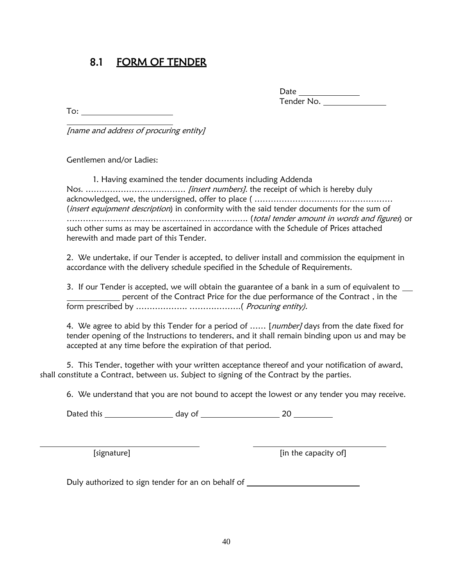# 8.1 FORM OF TENDER

Date Tender No.

To:

[name and address of procuring entity]

Gentlemen and/or Ladies:

1. Having examined the tender documents including Addenda Nos. ………………………………. [insert numbers]. the receipt of which is hereby duly acknowledged, we, the undersigned, offer to place ( …………………………………………… (*insert equipment description*) in conformity with the said tender documents for the sum of …………………………………………………………. (total tender amount in words and figures) or such other sums as may be ascertained in accordance with the Schedule of Prices attached herewith and made part of this Tender.

2. We undertake, if our Tender is accepted, to deliver install and commission the equipment in accordance with the delivery schedule specified in the Schedule of Requirements.

3. If our Tender is accepted, we will obtain the guarantee of a bank in a sum of equivalent to \_\_ percent of the Contract Price for the due performance of the Contract , in the form prescribed by ………………. ……………….( Procuring entity).

4. We agree to abid by this Tender for a period of ...... [number] days from the date fixed for tender opening of the Instructions to tenderers, and it shall remain binding upon us and may be accepted at any time before the expiration of that period.

5. This Tender, together with your written acceptance thereof and your notification of award, shall constitute a Contract, between us. Subject to signing of the Contract by the parties.

6. We understand that you are not bound to accept the lowest or any tender you may receive.

Dated this day of 20

[in the capacity of]

Duly authorized to sign tender for an on behalf of \_\_\_\_\_\_\_\_\_\_\_\_\_\_\_\_\_\_\_\_\_\_\_\_\_\_\_\_\_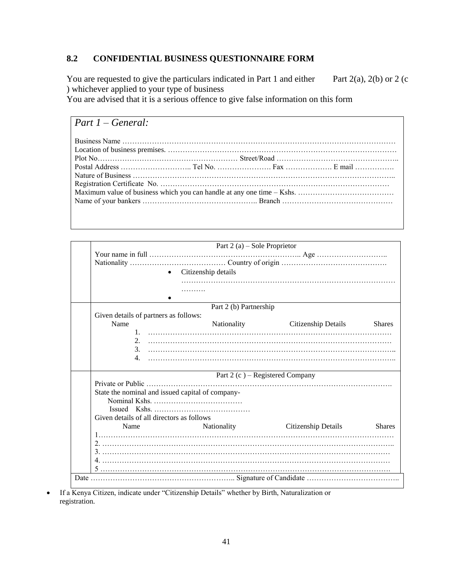## **8.2 CONFIDENTIAL BUSINESS QUESTIONNAIRE FORM**

You are requested to give the particulars indicated in Part 1 and either Part 2(a), 2(b) or 2 (c ) whichever applied to your type of business

You are advised that it is a serious offence to give false information on this form

| Part $1 - General$ : |  |  |  |  |
|----------------------|--|--|--|--|
|                      |  |  |  |  |
|                      |  |  |  |  |
|                      |  |  |  |  |
|                      |  |  |  |  |
|                      |  |  |  |  |
|                      |  |  |  |  |
|                      |  |  |  |  |
|                      |  |  |  |  |

|                                                   | Part 2 (a) – Sole Proprietor     |                                 |               |
|---------------------------------------------------|----------------------------------|---------------------------------|---------------|
|                                                   |                                  |                                 |               |
|                                                   | Citizenship details<br>$\bullet$ |                                 |               |
|                                                   |                                  |                                 |               |
|                                                   | Part 2 (b) Partnership           |                                 |               |
| Given details of partners as follows:<br>Name     | Nationality                      | Citizenship Details             | <b>Shares</b> |
| 2.<br>3 <sub>1</sub><br>4.                        |                                  |                                 |               |
|                                                   |                                  | Part 2 (c) – Registered Company |               |
|                                                   |                                  |                                 |               |
| State the nominal and issued capital of company-  |                                  |                                 |               |
| Given details of all directors as follows<br>Name | <b>Nationality</b>               | Citizenship Details             | <b>Shares</b> |
|                                                   |                                  |                                 |               |
|                                                   |                                  |                                 |               |
|                                                   |                                  |                                 |               |

 If a Kenya Citizen, indicate under "Citizenship Details" whether by Birth, Naturalization or registration.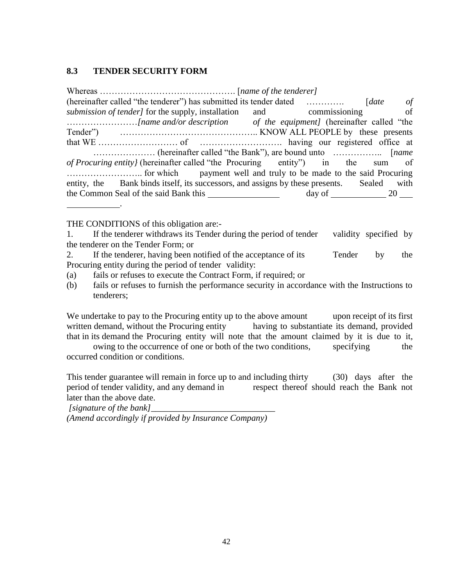#### **8.3 TENDER SECURITY FORM**

Whereas ………………………………………. [*name of the tenderer]* (hereinafter called "the tenderer") has submitted its tender dated …………. [*date of submission of tender]* for the supply, installation and commissioning of ……………………*[name and/or description of the equipment]* (hereinafter called "the Tender") ……………………………………….. KNOW ALL PEOPLE by these presents that WE ……………………… of ………………………. having our registered office at ………………… (hereinafter called "the Bank"), are bound unto …………….. [*name of Procuring entity}* (hereinafter called "the Procuring entity") in the sum of …………………….. for which payment well and truly to be made to the said Procuring entity, the Bank binds itself, its successors, and assigns by these presents. Sealed with the Common Seal of the said Bank this day of 20 .

THE CONDITIONS of this obligation are:-

1. If the tenderer withdraws its Tender during the period of tender validity specified by the tenderer on the Tender Form; or

2. If the tenderer, having been notified of the acceptance of its Tender by the Procuring entity during the period of tender validity:

- (a) fails or refuses to execute the Contract Form, if required; or
- (b) fails or refuses to furnish the performance security in accordance with the Instructions to tenderers;

We undertake to pay to the Procuring entity up to the above amount upon receipt of its first written demand, without the Procuring entity having to substantiate its demand, provided that in its demand the Procuring entity will note that the amount claimed by it is due to it,

owing to the occurrence of one or both of the two conditions, specifying the occurred condition or conditions.

This tender guarantee will remain in force up to and including thirty (30) days after the period of tender validity, and any demand in respect thereof should reach the Bank not later than the above date.

*[signature of the bank]* 

*(Amend accordingly if provided by Insurance Company)*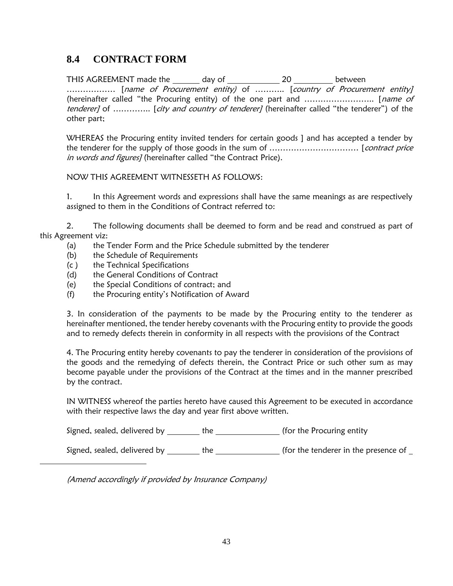# **8.4 CONTRACT FORM**

THIS AGREEMENT made the \_\_\_\_\_\_\_ day of \_\_\_\_\_\_\_\_\_\_\_\_\_\_ 20 \_\_\_\_\_\_\_\_\_\_ between .................. [name of Procurement entity) of ........... [country of Procurement entity] (hereinafter called "the Procuring entity) of the one part and …………………….. [name of tenderer] of .............. [city and country of tenderer] (hereinafter called "the tenderer") of the other part;

WHEREAS the Procuring entity invited tenders for certain goods ] and has accepted a tender by the tenderer for the supply of those goods in the sum of …………………………… [contract price in words and figures] (hereinafter called "the Contract Price).

NOW THIS AGREEMENT WITNESSETH AS FOLLOWS:

1. In this Agreement words and expressions shall have the same meanings as are respectively assigned to them in the Conditions of Contract referred to:

2. The following documents shall be deemed to form and be read and construed as part of this Agreement viz:

- (a) the Tender Form and the Price Schedule submitted by the tenderer
- (b) the Schedule of Requirements
- (c ) the Technical Specifications
- (d) the General Conditions of Contract
- (e) the Special Conditions of contract; and
- (f) the Procuring entity's Notification of Award

3. In consideration of the payments to be made by the Procuring entity to the tenderer as hereinafter mentioned, the tender hereby covenants with the Procuring entity to provide the goods and to remedy defects therein in conformity in all respects with the provisions of the Contract

4. The Procuring entity hereby covenants to pay the tenderer in consideration of the provisions of the goods and the remedying of defects therein, the Contract Price or such other sum as may become payable under the provisions of the Contract at the times and in the manner prescribed by the contract.

IN WITNESS whereof the parties hereto have caused this Agreement to be executed in accordance with their respective laws the day and year first above written.

Signed, sealed, delivered by \_\_\_\_\_\_\_\_ the \_\_\_\_\_\_\_\_\_\_\_\_\_\_ (for the Procuring entity

Signed, sealed, delivered by the the (for the tenderer in the presence of

(Amend accordingly if provided by Insurance Company)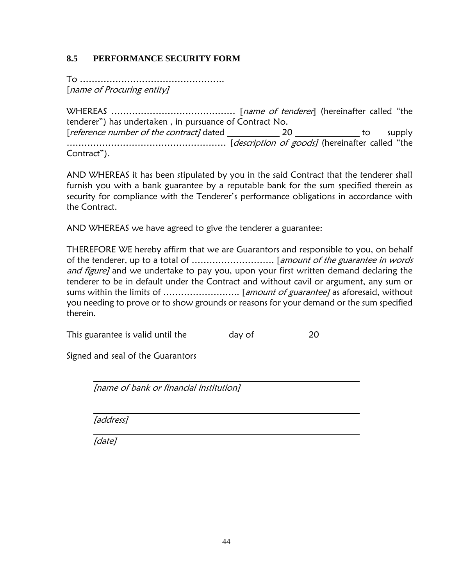### **8.5 PERFORMANCE SECURITY FORM**

To …………………………………………. [name of Procuring entity]

WHEREAS …………………………………… [name of tenderer] (hereinafter called "the tenderer") has undertaken , in pursuance of Contract No. [*reference number of the contract]* dated \_\_\_\_\_\_\_\_\_\_\_\_\_\_\_\_\_\_\_\_\_\_\_\_\_\_\_\_\_\_\_\_ to supply ……………………………………………… [description of goods] (hereinafter called "the Contract").

AND WHEREAS it has been stipulated by you in the said Contract that the tenderer shall furnish you with a bank guarantee by a reputable bank for the sum specified therein as security for compliance with the Tenderer's performance obligations in accordance with the Contract.

AND WHEREAS we have agreed to give the tenderer a guarantee:

THEREFORE WE hereby affirm that we are Guarantors and responsible to you, on behalf of the tenderer, up to a total of ………………………. [amount of the guarantee in words and figure] and we undertake to pay you, upon your first written demand declaring the tenderer to be in default under the Contract and without cavil or argument, any sum or sums within the limits of …………………….. [amount of guarantee] as aforesaid, without you needing to prove or to show grounds or reasons for your demand or the sum specified therein.

This guarantee is valid until the day of 20

Signed and seal of the Guarantors

[name of bank or financial institution]

[address]

[date]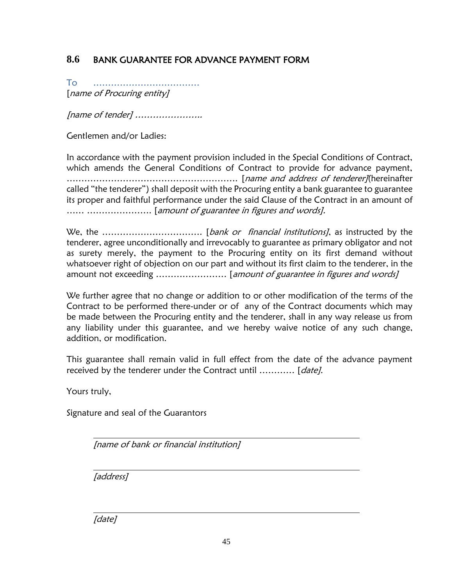# **8.6** BANK GUARANTEE FOR ADVANCE PAYMENT FORM

To ……………………………… [name of Procuring entity]

[name of tender] …………………..

Gentlemen and/or Ladies:

In accordance with the payment provision included in the Special Conditions of Contract, which amends the General Conditions of Contract to provide for advance payment, …………………………………………………. [name and address of tenderer](hereinafter called "the tenderer") shall deposit with the Procuring entity a bank guarantee to guarantee its proper and faithful performance under the said Clause of the Contract in an amount of …… …………………. [amount of guarantee in figures and words].

We, the ……………………………. [bank or financial institutions], as instructed by the tenderer, agree unconditionally and irrevocably to guarantee as primary obligator and not as surety merely, the payment to the Procuring entity on its first demand without whatsoever right of objection on our part and without its first claim to the tenderer, in the amount not exceeding ......................... [amount of guarantee in figures and words]

We further agree that no change or addition to or other modification of the terms of the Contract to be performed there-under or of any of the Contract documents which may be made between the Procuring entity and the tenderer, shall in any way release us from any liability under this guarantee, and we hereby waive notice of any such change, addition, or modification.

This guarantee shall remain valid in full effect from the date of the advance payment received by the tenderer under the Contract until ............ [date].

Yours truly,

Signature and seal of the Guarantors

[name of bank or financial institution]

[address]

[date]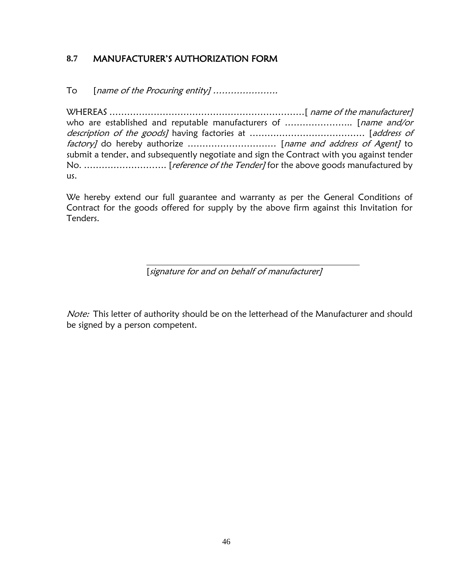## **8.7** MANUFACTURER'S AUTHORIZATION FORM

To [name of the Procuring entity] ......................

WHEREAS …………………………………………………………[ name of the manufacturer] who are established and reputable manufacturers of ............................. [*name and/or* description of the goods] having factories at ………………………………… [address of factory] do hereby authorize ................................... [name and address of Agent] to submit a tender, and subsequently negotiate and sign the Contract with you against tender No. ................................. [reference of the Tender] for the above goods manufactured by us.

We hereby extend our full guarantee and warranty as per the General Conditions of Contract for the goods offered for supply by the above firm against this Invitation for Tenders.

[signature for and on behalf of manufacturer]

Note: This letter of authority should be on the letterhead of the Manufacturer and should be signed by a person competent.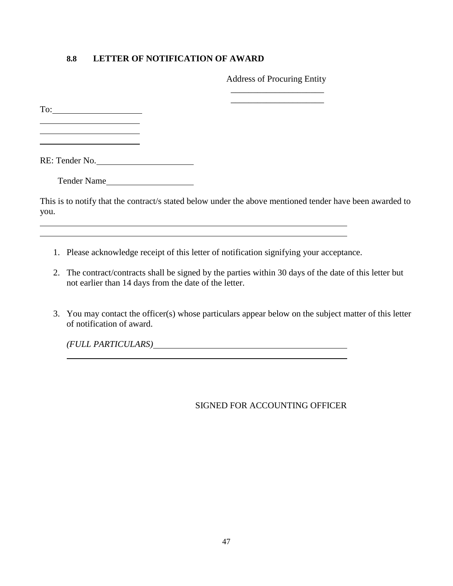#### **8.8 LETTER OF NOTIFICATION OF AWARD**

Address of Procuring Entity \_\_\_\_\_\_\_\_\_\_\_\_\_\_\_\_\_\_\_\_\_

\_\_\_\_\_\_\_\_\_\_\_\_\_\_\_\_\_\_\_\_\_

To:

l

RE: Tender No.

Tender Name

This is to notify that the contract/s stated below under the above mentioned tender have been awarded to you.

- 1. Please acknowledge receipt of this letter of notification signifying your acceptance.
- 2. The contract/contracts shall be signed by the parties within 30 days of the date of this letter but not earlier than 14 days from the date of the letter.
- 3. You may contact the officer(s) whose particulars appear below on the subject matter of this letter of notification of award.

*(FULL PARTICULARS)*

#### SIGNED FOR ACCOUNTING OFFICER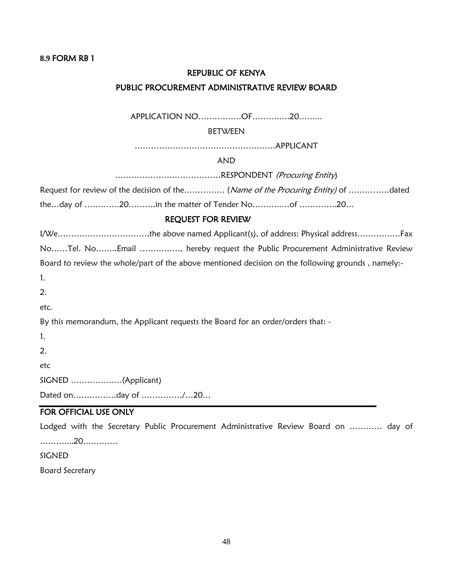#### **8.9** FORM RB 1

# REPUBLIC OF KENYA PUBLIC PROCUREMENT ADMINISTRATIVE REVIEW BOARD

APPLICATION NO…………….OF……….….20……...

#### BETWEEN

…………………………………………….APPLICANT

#### AND

…………………………………RESPONDENT (Procuring Entity)

Request for review of the decision of the…………… (Name of the Procuring Entity) of ................dated

the…day of ………….20……….in the matter of Tender No………..…of …………..20…

#### REQUEST FOR REVIEW

I/We……………………………,the above named Applicant(s), of address: Physical address…………….Fax No……Tel. No……..Email ……………, hereby request the Public Procurement Administrative Review Board to review the whole/part of the above mentioned decision on the following grounds, namely:-1. 2. etc. By this memorandum, the Applicant requests the Board for an order/orders that: - 1. 2. etc SIGNED ……………….(Applicant)

Dated on…………….day of ……………/…20…

#### FOR OFFICIAL USE ONLY

Lodged with the Secretary Public Procurement Administrative Review Board on ………… day of ………....20….……… **SIGNED** 

Board Secretary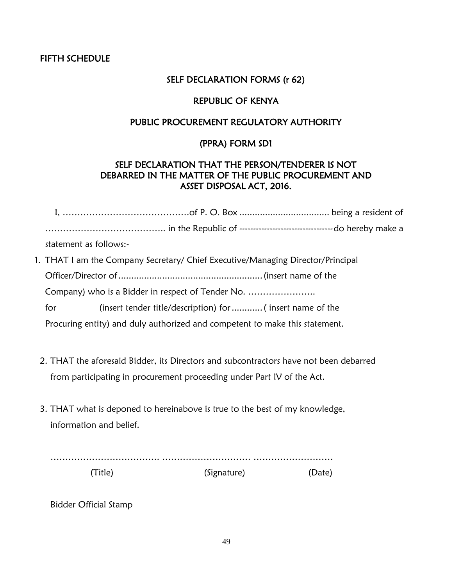#### FIFTH SCHEDULE

#### SELF DECLARATION FORMS (r 62)

### REPUBLIC OF KENYA

## PUBLIC PROCUREMENT REGULATORY AUTHORITY

### (PPRA) FORM SD1

### SELF DECLARATION THAT THE PERSON/TENDERER IS NOT DEBARRED IN THE MATTER OF THE PUBLIC PROCUREMENT AND ASSET DISPOSAL ACT, 2016.

|                                                   | statement as follows:-                                                          |  |  |
|---------------------------------------------------|---------------------------------------------------------------------------------|--|--|
|                                                   | 1. THAT I am the Company Secretary/ Chief Executive/Managing Director/Principal |  |  |
|                                                   |                                                                                 |  |  |
| Company) who is a Bidder in respect of Tender No. |                                                                                 |  |  |
|                                                   | (insert tender title/description) for  (insert name of the<br>for               |  |  |
|                                                   | Procuring entity) and duly authorized and competent to make this statement.     |  |  |

- 2. THAT the aforesaid Bidder, its Directors and subcontractors have not been debarred from participating in procurement proceeding under Part IV of the Act.
- 3. THAT what is deponed to hereinabove is true to the best of my knowledge, information and belief.

| (Signature) |  |
|-------------|--|

Bidder Official Stamp